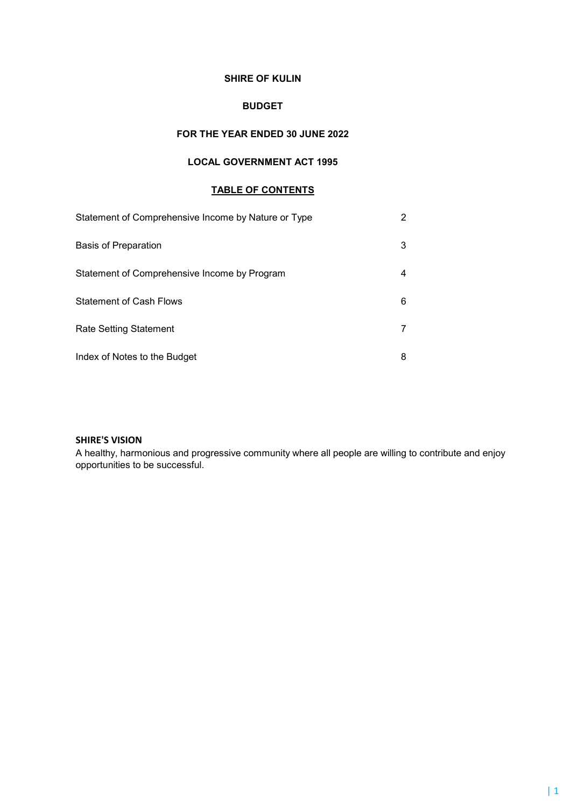## SHIRE OF KULIN

# BUDGET

# FOR THE YEAR ENDED 30 JUNE 2022

# LOCAL GOVERNMENT ACT 1995

# TABLE OF CONTENTS

| Statement of Comprehensive Income by Nature or Type |   |
|-----------------------------------------------------|---|
| <b>Basis of Preparation</b>                         | 3 |
| Statement of Comprehensive Income by Program        |   |
| <b>Statement of Cash Flows</b>                      | 6 |
| <b>Rate Setting Statement</b>                       |   |
| Index of Notes to the Budget                        |   |

# SHIRE'S VISION

A healthy, harmonious and progressive community where all people are willing to contribute and enjoy opportunities to be successful.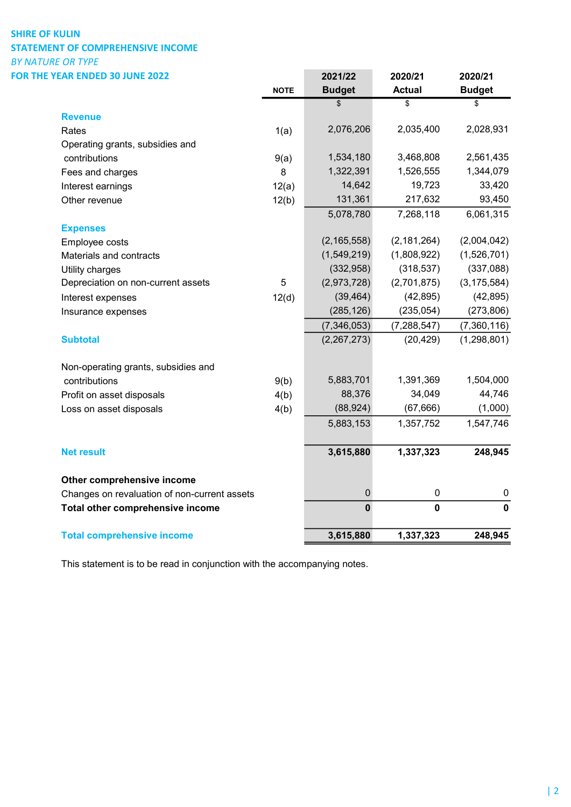# SHIRE OF KULIN STATEMENT OF COMPREHENSIVE INCOME BY NATURE OR TYPE

| FOR THE YEAR ENDED 30 JUNE 2022              |             | 2021/22          | 2020/21       | 2020/21       |
|----------------------------------------------|-------------|------------------|---------------|---------------|
|                                              | <b>NOTE</b> | <b>Budget</b>    | <b>Actual</b> | <b>Budget</b> |
|                                              |             | \$               | \$            | \$            |
| <b>Revenue</b>                               |             |                  |               |               |
| Rates                                        | 1(a)        | 2,076,206        | 2,035,400     | 2,028,931     |
| Operating grants, subsidies and              |             |                  |               |               |
| contributions                                | 9(a)        | 1,534,180        | 3,468,808     | 2,561,435     |
| Fees and charges                             | 8           | 1,322,391        | 1,526,555     | 1,344,079     |
| Interest earnings                            | 12(a)       | 14,642           | 19,723        | 33,420        |
| Other revenue                                | 12(b)       | 131,361          | 217,632       | 93,450        |
|                                              |             | 5,078,780        | 7,268,118     | 6,061,315     |
| <b>Expenses</b>                              |             |                  |               |               |
| Employee costs                               |             | (2, 165, 558)    | (2, 181, 264) | (2,004,042)   |
| Materials and contracts                      |             | (1,549,219)      | (1,808,922)   | (1,526,701)   |
| Utility charges                              |             | (332, 958)       | (318, 537)    | (337,088)     |
| Depreciation on non-current assets           | $\sqrt{5}$  | (2,973,728)      | (2,701,875)   | (3, 175, 584) |
| Interest expenses                            | 12(d)       | (39, 464)        | (42, 895)     | (42, 895)     |
| Insurance expenses                           |             | (285, 126)       | (235, 054)    | (273, 806)    |
|                                              |             | (7, 346, 053)    | (7, 288, 547) | (7,360,116)   |
| <b>Subtotal</b>                              |             | (2,267,273)      | (20, 429)     | (1, 298, 801) |
| Non-operating grants, subsidies and          |             |                  |               |               |
| contributions                                | 9(b)        | 5,883,701        | 1,391,369     | 1,504,000     |
| Profit on asset disposals                    | 4(b)        | 88,376           | 34,049        | 44,746        |
| Loss on asset disposals                      | 4(b)        | (88, 924)        | (67, 666)     | (1,000)       |
|                                              |             | 5,883,153        | 1,357,752     | 1,547,746     |
| <b>Net result</b>                            |             | 3,615,880        | 1,337,323     | 248,945       |
| Other comprehensive income                   |             |                  |               |               |
| Changes on revaluation of non-current assets |             | $\boldsymbol{0}$ | 0             | $\pmb{0}$     |
| Total other comprehensive income             |             | $\mathbf 0$      | $\mathbf 0$   | $\mathbf 0$   |
| <b>Total comprehensive income</b>            |             | 3,615,880        | 1,337,323     | 248,945       |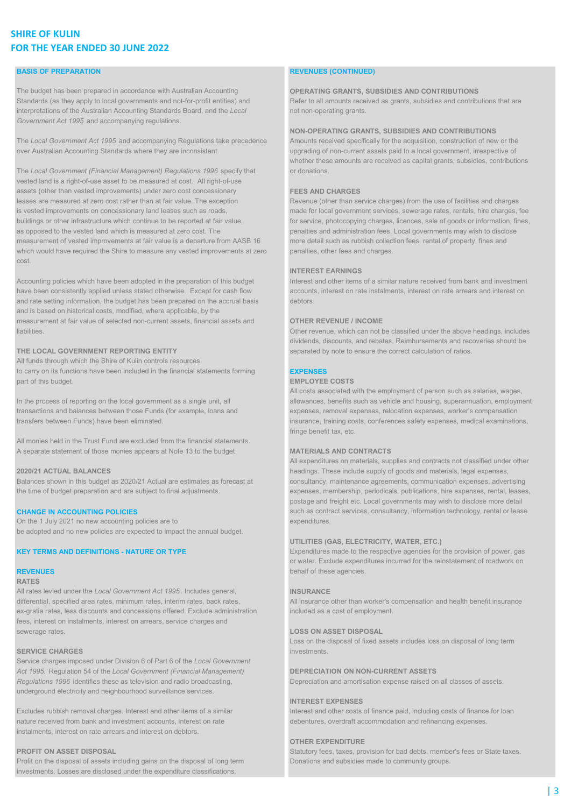# SHIRE OF KULIN FOR THE YEAR ENDED 30 JUNE 2022

### BASIS OF PREPARATION **REVENUES (CONTINUED)**

The budget has been prepared in accordance with Australian Accounting **OPERATING GRANTS, SUBSIDIES AND CONTRIBUTIONS** Standards (as they apply to local governments and not-for-profit entities) and Refer to all amounts received as grants, subsidies and contributions that are interpretations of the Australian Accounting Standards Board, and the Local not non-operating grants. Government Act 1995 and accompanying regulations.

The Local Government Act 1995 and accompanying Regulations take precedence Amounts received specifically for the acquisition, construction of new or the over Australian Accounting Standards where they are inconsistent. upgrading of non-current assets paid to a local government, irrespective of

The Local Government (Financial Management) Regulations 1996 specify that or donations. vested land is a right-of-use asset to be measured at cost. All right-of-use assets (other than vested improvements) under zero cost concessionary **FEES AND CHARGES** leases are measured at zero cost rather than at fair value. The exception Revenue (other than service charges) from the use of facilities and charges is vested improvements on concessionary land leases such as roads, made for local government services, sewerage rates, rentals, hire charges, fee buildings or other infrastructure which continue to be reported at fair value, for service, photocopying charges, licences, sale of goods or information, fines, as opposed to the vested land which is measured at zero cost. The penalties and administration fees. Local governments may wish to disclose measurement of vested improvements at fair value is a departure from AASB 16 more detail such as rubbish collection fees, rental of property, fines and which would have required the Shire to measure any vested improvements at zero penalties, other fees and charges. cost.

Accounting policies which have been adopted in the preparation of this budget Interest and other items of a similar nature received from bank and investment have been consistently applied unless stated otherwise. Except for cash flow accounts, interest on rate instalments, interest on rate arrears and interest on and rate setting information, the budget has been prepared on the accrual basis debtors. and is based on historical costs, modified, where applicable, by the measurement at fair value of selected non-current assets, financial assets and **OTHER REVENUE / INCOME** liabilities. Other revenue, which can not be classified under the above headings, includes

All funds through which the Shire of Kulin controls resources to carry on its functions have been included in the financial statements forming **EXPENSES** part of this budget. The contract of this budget. The costs of the costs of the costs of the costs of the costs

All monies held in the Trust Fund are excluded from the financial statements. A separate statement of those monies appears at Note 13 to the budget. MATERIALS AND CONTRACTS

On the 1 July 2021 no new accounting policies are to expenditures. be adopted and no new policies are expected to impact the annual budget.

### RATES

All rates levied under the Local Government Act 1995. Includes general, **INSURANCE** differential, specified area rates, minimum rates, interim rates, back rates, All insurance other than worker's compensation and health benefit insurance ex-gratia rates, less discounts and concessions offered. Exclude administration included as a cost of employment. fees, interest on instalments, interest on arrears, service charges and sewerage rates. LOSS ON ASSET DISPOSAL

### **SERVICE CHARGES investments**.

Service charges imposed under Division 6 of Part 6 of the Local Government Act 1995. Regulation 54 of the Local Government (Financial Management) DEPRECIATION ON NON-CURRENT ASSETS Regulations 1996 identifies these as television and radio broadcasting, Depreciation and amortisation expense raised on all classes of assets. underground electricity and neighbourhood surveillance services.

Excludes rubbish removal charges. Interest and other items of a similar Interest and other costs of finance paid, including costs of finance for loan nature received from bank and investment accounts, interest on rate debentures, overdraft accommodation and refinancing expenses. instalments, interest on rate arrears and interest on debtors.

Profit on the disposal of assets including gains on the disposal of long term Donations and subsidies made to community groups. investments. Losses are disclosed under the expenditure classifications.

### NON-OPERATING GRANTS, SUBSIDIES AND CONTRIBUTIONS

whether these amounts are received as capital grants, subsidies, contributions

### INTEREST EARNINGS

dividends, discounts, and rebates. Reimbursements and recoveries should be THE LOCAL GOVERNMENT REPORTING ENTITY separated by note to ensure the correct calculation of ratios.

All costs associated with the employment of person such as salaries, wages, In the process of reporting on the local government as a single unit, all allowances, benefits such as vehicle and housing, superannuation, employment transactions and balances between those Funds (for example, loans and expenses, removal expenses, relocation expenses, worker's compensation transfers between Funds) have been eliminated. insurance, training costs, conferences safety expenses, medical examinations, fringe benefit tax, etc.

All expenditures on materials, supplies and contracts not classified under other 2020/21 ACTUAL BALANCES headings. These include supply of goods and materials, legal expenses, Balances shown in this budget as 2020/21 Actual are estimates as forecast at consultancy, maintenance agreements, communication expenses, advertising the time of budget preparation and are subject to final adjustments. expenses, membership, periodicals, publications, hire expenses, rental, leases, postage and freight etc. Local governments may wish to disclose more detail CHANGE IN ACCOUNTING POLICIES **Substitution** in the such as contract services, consultancy, information technology, rental or lease

### UTILITIES (GAS, ELECTRICITY, WATER, ETC.)

KEY TERMS AND DEFINITIONS - NATURE OR TYPE Expenditures made to the respective agencies for the provision of power, gas or water. Exclude expenditures incurred for the reinstatement of roadwork on **REVENUES** behalf of these agencies. The half of these agencies.

Loss on the disposal of fixed assets includes loss on disposal of long term

### INTEREST EXPENSES

### OTHER EXPENDITURE

**PROFIT ON ASSET DISPOSAL** Statutory fees, taxes, provision for bad debts, member's fees or State taxes.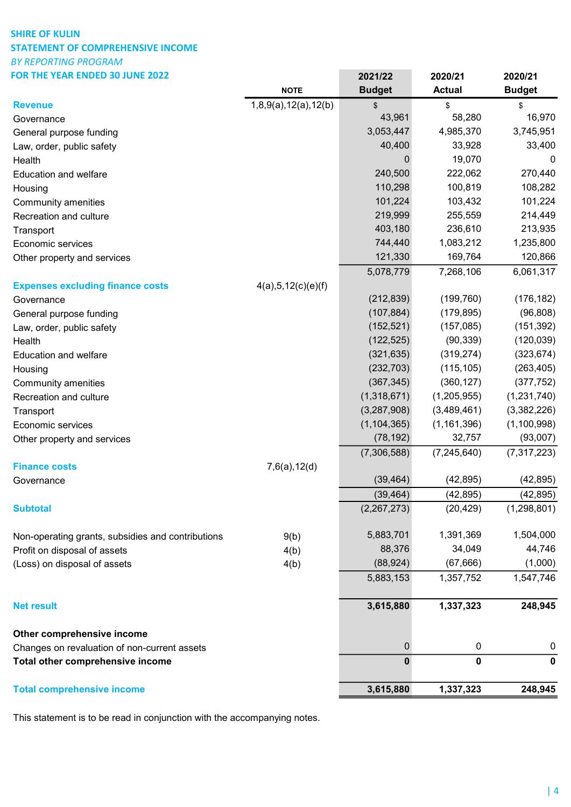# SHIRE OF KULIN STATEMENT OF COMPREHENSIVE INCOME BY REPORTING PROGRAM FOR THE YEAR ENDED 30 JUNE 2022 2021/22 2020/21 2020/21

| FUK THE YEAK ENDED 30 JUNE ZUZZ                   |                      | 2021/22       | 2020/21          | 2020/21       |
|---------------------------------------------------|----------------------|---------------|------------------|---------------|
|                                                   | <b>NOTE</b>          | <b>Budget</b> | <b>Actual</b>    | <b>Budget</b> |
| <b>Revenue</b>                                    | 1,8,9(a),12(a),12(b) | \$            | \$               | \$            |
| Governance                                        |                      | 43,961        | 58,280           | 16,970        |
| General purpose funding                           |                      | 3,053,447     | 4,985,370        | 3,745,951     |
| Law, order, public safety                         |                      | 40,400        | 33,928           | 33,400        |
| Health                                            |                      | 0             | 19,070           | 0             |
| <b>Education and welfare</b>                      |                      | 240,500       | 222,062          | 270,440       |
| Housing                                           |                      | 110,298       | 100,819          | 108,282       |
| Community amenities                               |                      | 101,224       | 103,432          | 101,224       |
| Recreation and culture                            |                      | 219,999       | 255,559          | 214,449       |
| Transport                                         |                      | 403,180       | 236,610          | 213,935       |
| Economic services                                 |                      | 744,440       | 1,083,212        | 1,235,800     |
| Other property and services                       |                      | 121,330       | 169,764          | 120,866       |
|                                                   |                      | 5,078,779     | 7,268,106        | 6,061,317     |
| <b>Expenses excluding finance costs</b>           | 4(a), 5, 12(c)(e)(f) |               |                  |               |
| Governance                                        |                      | (212, 839)    | (199, 760)       | (176, 182)    |
| General purpose funding                           |                      | (107, 884)    | (179, 895)       | (96, 808)     |
| Law, order, public safety                         |                      | (152, 521)    | (157,085)        | (151, 392)    |
| Health                                            |                      | (122, 525)    | (90, 339)        | (120, 039)    |
| <b>Education and welfare</b>                      |                      | (321, 635)    | (319, 274)       | (323, 674)    |
| Housing                                           |                      | (232, 703)    | (115, 105)       | (263, 405)    |
| Community amenities                               |                      | (367, 345)    | (360, 127)       | (377, 752)    |
| Recreation and culture                            |                      | (1,318,671)   | (1,205,955)      | (1,231,740)   |
| Transport                                         |                      | (3,287,908)   | (3,489,461)      | (3,382,226)   |
| Economic services                                 |                      | (1, 104, 365) | (1, 161, 396)    | (1, 100, 998) |
| Other property and services                       |                      | (78, 192)     | 32,757           | (93,007)      |
|                                                   |                      | (7,306,588)   | (7, 245, 640)    | (7, 317, 223) |
| <b>Finance costs</b>                              | 7,6(a),12(d)         |               |                  |               |
| Governance                                        |                      | (39, 464)     | (42, 895)        | (42, 895)     |
|                                                   |                      | (39, 464)     | (42, 895)        | (42, 895)     |
| <b>Subtotal</b>                                   |                      | (2,267,273)   | (20, 429)        | (1, 298, 801) |
| Non-operating grants, subsidies and contributions | 9(b)                 | 5,883,701     | 1,391,369        | 1,504,000     |
| Profit on disposal of assets                      | 4(b)                 | 88,376        | 34,049           | 44,746        |
| (Loss) on disposal of assets                      | 4(b)                 | (88, 924)     | (67, 666)        | (1,000)       |
|                                                   |                      | 5,883,153     | 1,357,752        | 1,547,746     |
| <b>Net result</b>                                 |                      | 3,615,880     | 1,337,323        | 248,945       |
| Other comprehensive income                        |                      |               |                  |               |
| Changes on revaluation of non-current assets      |                      | 0             | $\boldsymbol{0}$ | $\bf{0}$      |
| Total other comprehensive income                  |                      | 0             | 0                | $\mathbf 0$   |
| <b>Total comprehensive income</b>                 |                      | 3,615,880     | 1,337,323        | 248,945       |
|                                                   |                      |               |                  |               |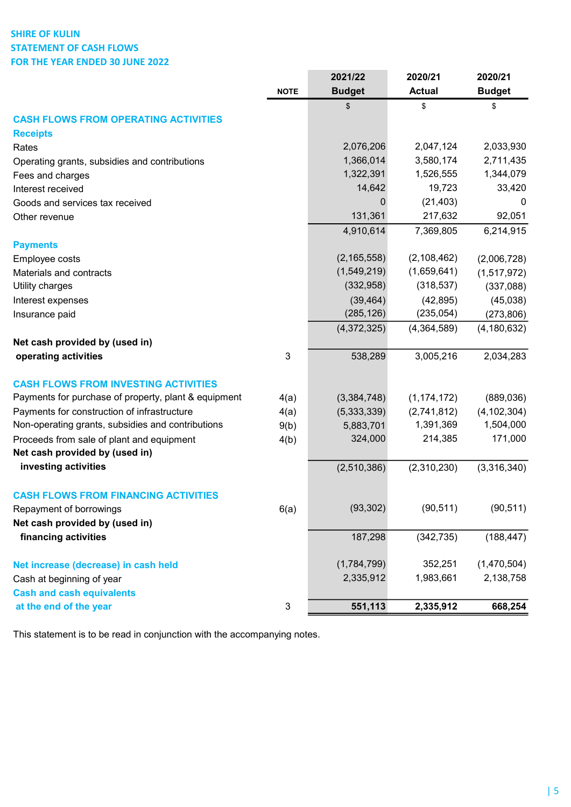# SHIRE OF KULIN STATEMENT OF CASH FLOWS FOR THE YEAR ENDED 30 JUNE 2022

|                                                      |             | 2021/22       | 2020/21       | 2020/21       |
|------------------------------------------------------|-------------|---------------|---------------|---------------|
|                                                      | <b>NOTE</b> | <b>Budget</b> | <b>Actual</b> | <b>Budget</b> |
|                                                      |             | \$            | \$            | \$            |
| <b>CASH FLOWS FROM OPERATING ACTIVITIES</b>          |             |               |               |               |
| <b>Receipts</b>                                      |             |               |               |               |
| Rates                                                |             | 2,076,206     | 2,047,124     | 2,033,930     |
| Operating grants, subsidies and contributions        |             | 1,366,014     | 3,580,174     | 2,711,435     |
| Fees and charges                                     |             | 1,322,391     | 1,526,555     | 1,344,079     |
| Interest received                                    |             | 14,642        | 19,723        | 33,420        |
| Goods and services tax received                      |             | $\mathbf{0}$  | (21, 403)     | 0             |
| Other revenue                                        |             | 131,361       | 217,632       | 92,051        |
|                                                      |             | 4,910,614     | 7,369,805     | 6,214,915     |
| <b>Payments</b>                                      |             |               |               |               |
| Employee costs                                       |             | (2, 165, 558) | (2, 108, 462) | (2,006,728)   |
| Materials and contracts                              |             | (1,549,219)   | (1,659,641)   | (1,517,972)   |
| Utility charges                                      |             | (332, 958)    | (318, 537)    | (337,088)     |
| Interest expenses                                    |             | (39, 464)     | (42, 895)     | (45,038)      |
| Insurance paid                                       |             | (285, 126)    | (235, 054)    | (273, 806)    |
|                                                      |             | (4,372,325)   | (4,364,589)   | (4, 180, 632) |
| Net cash provided by (used in)                       |             |               |               |               |
| operating activities                                 | 3           | 538,289       | 3,005,216     | 2,034,283     |
| <b>CASH FLOWS FROM INVESTING ACTIVITIES</b>          |             |               |               |               |
| Payments for purchase of property, plant & equipment | 4(a)        | (3,384,748)   | (1, 174, 172) | (889, 036)    |
| Payments for construction of infrastructure          | 4(a)        | (5,333,339)   | (2,741,812)   | (4, 102, 304) |
| Non-operating grants, subsidies and contributions    | 9(b)        | 5,883,701     | 1,391,369     | 1,504,000     |
| Proceeds from sale of plant and equipment            | 4(b)        | 324,000       | 214,385       | 171,000       |
| Net cash provided by (used in)                       |             |               |               |               |
| investing activities                                 |             | (2,510,386)   | (2,310,230)   | (3,316,340)   |
| <b>CASH FLOWS FROM FINANCING ACTIVITIES</b>          |             |               |               |               |
| Repayment of borrowings                              | 6(a)        | (93, 302)     | (90, 511)     | (90, 511)     |
| Net cash provided by (used in)                       |             |               |               |               |
| financing activities                                 |             | 187,298       | (342, 735)    | (188, 447)    |
| Net increase (decrease) in cash held                 |             | (1,784,799)   | 352,251       | (1,470,504)   |
| Cash at beginning of year                            |             | 2,335,912     | 1,983,661     | 2,138,758     |
| <b>Cash and cash equivalents</b>                     |             |               |               |               |
| at the end of the year                               | $\sqrt{3}$  | 551,113       | 2,335,912     | 668,254       |

 $\sim$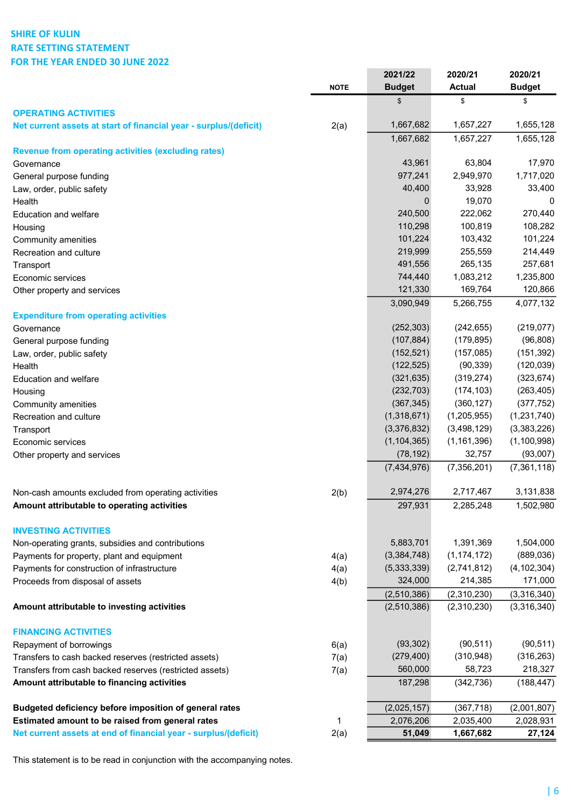# SHIRE OF KULIN RATE SETTING STATEMENT FOR THE YEAR ENDED 30 JUNE 2022

|                                                                   |             | 2021/22       | 2020/21       | 2020/21       |
|-------------------------------------------------------------------|-------------|---------------|---------------|---------------|
|                                                                   | <b>NOTE</b> | <b>Budget</b> | <b>Actual</b> | <b>Budget</b> |
|                                                                   |             | \$            | \$            | \$            |
| <b>OPERATING ACTIVITIES</b>                                       |             | 1,667,682     | 1,657,227     | 1,655,128     |
| Net current assets at start of financial year - surplus/(deficit) | 2(a)        | 1,667,682     | 1,657,227     | 1,655,128     |
| <b>Revenue from operating activities (excluding rates)</b>        |             |               |               |               |
| Governance                                                        |             | 43,961        | 63,804        | 17,970        |
| General purpose funding                                           |             | 977,241       | 2,949,970     | 1,717,020     |
| Law, order, public safety                                         |             | 40,400        | 33,928        | 33,400        |
| Health                                                            |             | 0             | 19,070        | 0             |
| <b>Education and welfare</b>                                      |             | 240,500       | 222,062       | 270,440       |
| Housing                                                           |             | 110,298       | 100,819       | 108,282       |
| Community amenities                                               |             | 101,224       | 103,432       | 101,224       |
| Recreation and culture                                            |             | 219,999       | 255,559       | 214,449       |
| Transport                                                         |             | 491,556       | 265,135       | 257,681       |
| Economic services                                                 |             | 744,440       | 1,083,212     | 1,235,800     |
| Other property and services                                       |             | 121,330       | 169,764       | 120,866       |
|                                                                   |             | 3,090,949     | 5,266,755     | 4,077,132     |
| <b>Expenditure from operating activities</b>                      |             |               |               |               |
| Governance                                                        |             | (252, 303)    | (242, 655)    | (219, 077)    |
| General purpose funding                                           |             | (107, 884)    | (179, 895)    | (96, 808)     |
| Law, order, public safety                                         |             | (152, 521)    | (157,085)     | (151, 392)    |
| Health                                                            |             | (122, 525)    | (90, 339)     | (120, 039)    |
| <b>Education and welfare</b>                                      |             | (321, 635)    | (319, 274)    | (323, 674)    |
| Housing                                                           |             | (232, 703)    | (174, 103)    | (263, 405)    |
| Community amenities                                               |             | (367, 345)    | (360, 127)    | (377, 752)    |
| Recreation and culture                                            |             | (1,318,671)   | (1,205,955)   | (1,231,740)   |
| Transport                                                         |             | (3,376,832)   | (3,498,129)   | (3,383,226)   |
| Economic services                                                 |             | (1, 104, 365) | (1, 161, 396) | (1, 100, 998) |
| Other property and services                                       |             | (78, 192)     | 32,757        | (93,007)      |
|                                                                   |             | (7,434,976)   | (7,356,201)   | (7,361,118)   |
| Non-cash amounts excluded from operating activities               | 2(b)        | 2,974,276     | 2,717,467     | 3,131,838     |
| Amount attributable to operating activities                       |             | 297,931       | 2,285,248     | 1,502,980     |
|                                                                   |             |               |               |               |
| <b>INVESTING ACTIVITIES</b>                                       |             |               |               |               |
| Non-operating grants, subsidies and contributions                 |             | 5,883,701     | 1,391,369     | 1,504,000     |
| Payments for property, plant and equipment                        | 4(a)        | (3,384,748)   | (1, 174, 172) | (889, 036)    |
| Payments for construction of infrastructure                       | 4(a)        | (5,333,339)   | (2,741,812)   | (4, 102, 304) |
| Proceeds from disposal of assets                                  | 4(b)        | 324,000       | 214,385       | 171,000       |
|                                                                   |             | (2,510,386)   | (2,310,230)   | (3,316,340)   |
| Amount attributable to investing activities                       |             | (2,510,386)   | (2,310,230)   | (3,316,340)   |
| <b>FINANCING ACTIVITIES</b>                                       |             |               |               |               |
| Repayment of borrowings                                           | 6(a)        | (93, 302)     | (90, 511)     | (90, 511)     |
| Transfers to cash backed reserves (restricted assets)             | 7(a)        | (279, 400)    | (310, 948)    | (316, 263)    |
| Transfers from cash backed reserves (restricted assets)           | 7(a)        | 560,000       | 58,723        | 218,327       |
| Amount attributable to financing activities                       |             | 187,298       | (342, 736)    | (188, 447)    |
|                                                                   |             |               |               |               |
| Budgeted deficiency before imposition of general rates            |             | (2,025,157)   | (367, 718)    | (2,001,807)   |
| Estimated amount to be raised from general rates                  | 1           | 2,076,206     | 2,035,400     | 2,028,931     |
| Net current assets at end of financial year - surplus/(deficit)   | 2(a)        | 51,049        | 1,667,682     | 27,124        |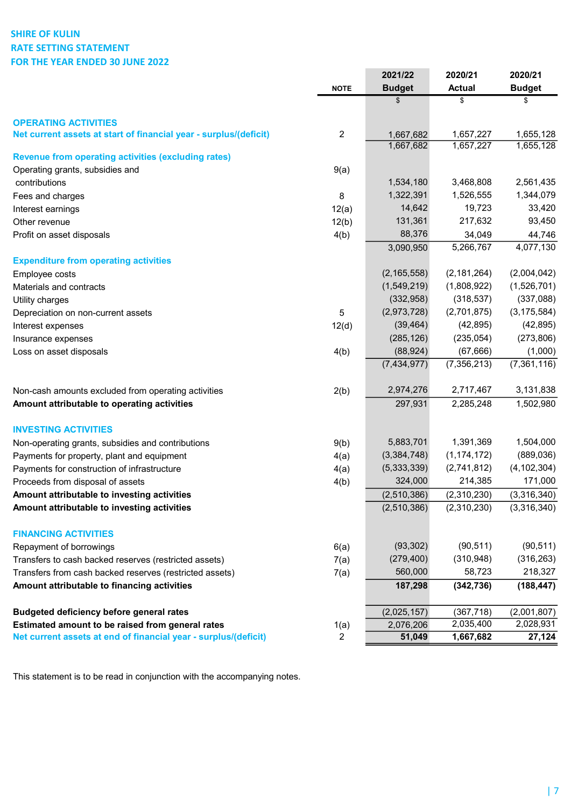# SHIRE OF KULIN RATE SETTING STATEMENT FOR THE YEAR ENDED 30 JUNE 2022

|                                                                   |                | 2021/22       | 2020/21             | 2020/21             |
|-------------------------------------------------------------------|----------------|---------------|---------------------|---------------------|
|                                                                   | <b>NOTE</b>    | <b>Budget</b> | <b>Actual</b>       | <b>Budget</b>       |
|                                                                   |                | \$            | \$                  | \$                  |
| <b>OPERATING ACTIVITIES</b>                                       |                |               |                     |                     |
| Net current assets at start of financial year - surplus/(deficit) | $\sqrt{2}$     | 1,667,682     | 1,657,227           | 1,655,128           |
|                                                                   |                | 1,667,682     | 1,657,227           | 1,655,128           |
| <b>Revenue from operating activities (excluding rates)</b>        |                |               |                     |                     |
| Operating grants, subsidies and                                   | 9(a)           | 1,534,180     | 3,468,808           | 2,561,435           |
| contributions                                                     | 8              | 1,322,391     | 1,526,555           | 1,344,079           |
| Fees and charges                                                  |                | 14,642        | 19,723              | 33,420              |
| Interest earnings                                                 | 12(a)          | 131,361       | 217,632             | 93,450              |
| Other revenue                                                     | 12(b)          | 88,376        |                     |                     |
| Profit on asset disposals                                         | 4(b)           | 3,090,950     | 34,049<br>5,266,767 | 44,746<br>4,077,130 |
| <b>Expenditure from operating activities</b>                      |                |               |                     |                     |
| Employee costs                                                    |                | (2, 165, 558) | (2, 181, 264)       | (2,004,042)         |
| Materials and contracts                                           |                | (1,549,219)   | (1,808,922)         | (1,526,701)         |
| Utility charges                                                   |                | (332, 958)    | (318, 537)          | (337,088)           |
| Depreciation on non-current assets                                | 5              | (2,973,728)   | (2,701,875)         | (3, 175, 584)       |
| Interest expenses                                                 | 12(d)          | (39, 464)     | (42, 895)           | (42, 895)           |
| Insurance expenses                                                |                | (285, 126)    | (235, 054)          | (273, 806)          |
| Loss on asset disposals                                           | 4(b)           | (88, 924)     | (67, 666)           | (1,000)             |
|                                                                   |                | (7, 434, 977) | (7, 356, 213)       | (7, 361, 116)       |
| Non-cash amounts excluded from operating activities               | 2(b)           | 2,974,276     | 2,717,467           | 3,131,838           |
| Amount attributable to operating activities                       |                | 297,931       | 2,285,248           | 1,502,980           |
| <b>INVESTING ACTIVITIES</b>                                       |                |               |                     |                     |
| Non-operating grants, subsidies and contributions                 | 9(b)           | 5,883,701     | 1,391,369           | 1,504,000           |
| Payments for property, plant and equipment                        | 4(a)           | (3,384,748)   | (1, 174, 172)       | (889, 036)          |
| Payments for construction of infrastructure                       | 4(a)           | (5,333,339)   | (2,741,812)         | (4, 102, 304)       |
| Proceeds from disposal of assets                                  | 4(b)           | 324,000       | 214,385             | 171,000             |
| Amount attributable to investing activities                       |                | (2,510,386)   | (2,310,230)         | (3,316,340)         |
| Amount attributable to investing activities                       |                | (2,510,386)   | (2,310,230)         | (3,316,340)         |
| <b>FINANCING ACTIVITIES</b>                                       |                |               |                     |                     |
| Repayment of borrowings                                           | 6(a)           | (93, 302)     | (90, 511)           | (90, 511)           |
| Transfers to cash backed reserves (restricted assets)             | 7(a)           | (279, 400)    | (310, 948)          | (316, 263)          |
| Transfers from cash backed reserves (restricted assets)           | 7(a)           | 560,000       | 58,723              | 218,327             |
| Amount attributable to financing activities                       |                | 187,298       | (342, 736)          | (188, 447)          |
| <b>Budgeted deficiency before general rates</b>                   |                | (2,025,157)   | (367, 718)          | (2,001,807)         |
| Estimated amount to be raised from general rates                  | 1(a)           | 2,076,206     | 2,035,400           | 2,028,931           |
| Net current assets at end of financial year - surplus/(deficit)   | $\overline{2}$ | 51,049        | 1,667,682           | 27,124              |
|                                                                   |                |               |                     |                     |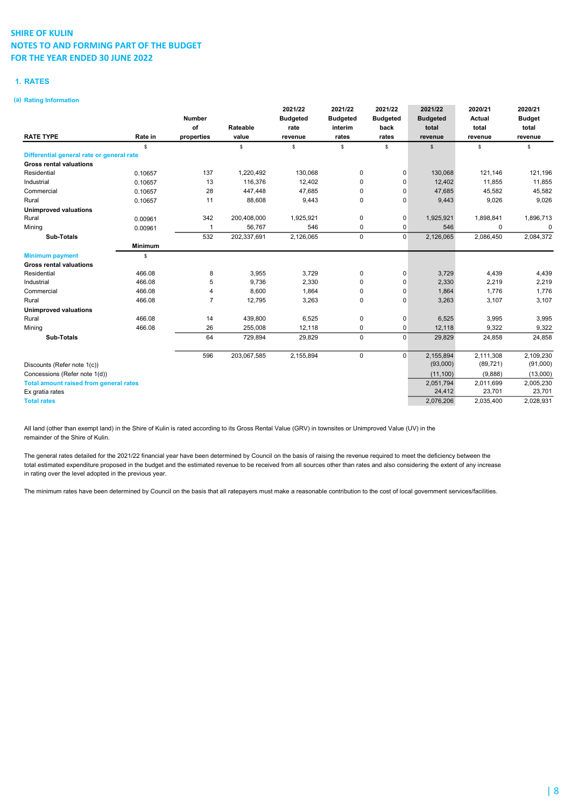### 1. RATES

### (a) Rating Information

|                                               |                |                |             | 2021/22         | 2021/22         | 2021/22         | 2021/22         | 2020/21       | 2020/21       |
|-----------------------------------------------|----------------|----------------|-------------|-----------------|-----------------|-----------------|-----------------|---------------|---------------|
|                                               |                | <b>Number</b>  |             | <b>Budgeted</b> | <b>Budgeted</b> | <b>Budgeted</b> | <b>Budgeted</b> | <b>Actual</b> | <b>Budget</b> |
|                                               |                | of             | Rateable    | rate            | interim         | back            | total           | total         | total         |
| <b>RATE TYPE</b>                              | Rate in        | properties     | value       | revenue         | rates           | rates           | revenue         | revenue       | revenue       |
|                                               | \$             |                | \$          | \$              | \$              | \$              | $\mathfrak s$   | \$            | \$            |
| Differential general rate or general rate     |                |                |             |                 |                 |                 |                 |               |               |
| <b>Gross rental valuations</b>                |                |                |             |                 |                 |                 |                 |               |               |
| Residential                                   | 0.10657        | 137            | 1,220,492   | 130,068         | 0               | 0               | 130,068         | 121,146       | 121,196       |
| Industrial                                    | 0.10657        | 13             | 116,376     | 12,402          | $\mathbf 0$     | 0               | 12,402          | 11,855        | 11,855        |
| Commercial                                    | 0.10657        | 28             | 447,448     | 47,685          | 0               | $\Omega$        | 47,685          | 45,582        | 45,582        |
| Rural                                         | 0.10657        | 11             | 88,608      | 9,443           | $\mathbf 0$     | $\Omega$        | 9,443           | 9,026         | 9,026         |
| <b>Unimproved valuations</b>                  |                |                |             |                 |                 |                 |                 |               |               |
| Rural                                         | 0.00961        | 342            | 200,408,000 | 1,925,921       | 0               | 0               | 1,925,921       | 1,898,841     | 1,896,713     |
| Mining                                        | 0.00961        | $\overline{1}$ | 56,767      | 546             | $\mathbf 0$     | 0               | 546             | 0             | 0             |
| <b>Sub-Totals</b>                             |                | 532            | 202,337,691 | 2,126,065       | $\mathbf 0$     | $\Omega$        | 2,126,065       | 2,086,450     | 2,084,372     |
|                                               | <b>Minimum</b> |                |             |                 |                 |                 |                 |               |               |
| <b>Minimum payment</b>                        | \$             |                |             |                 |                 |                 |                 |               |               |
| <b>Gross rental valuations</b>                |                |                |             |                 |                 |                 |                 |               |               |
| Residential                                   | 466.08         | 8              | 3,955       | 3,729           | $\mathbf 0$     | $\mathbf 0$     | 3,729           | 4,439         | 4,439         |
| Industrial                                    | 466.08         | 5              | 9,736       | 2,330           | 0               | $\Omega$        | 2,330           | 2,219         | 2,219         |
| Commercial                                    | 466.08         | 4              | 8,600       | 1,864           | $\mathbf 0$     | $\Omega$        | 1,864           | 1,776         | 1,776         |
| Rural                                         | 466.08         | $\overline{7}$ | 12,795      | 3,263           | $\mathbf 0$     | 0               | 3,263           | 3,107         | 3,107         |
| <b>Unimproved valuations</b>                  |                |                |             |                 |                 |                 |                 |               |               |
| Rural                                         | 466.08         | 14             | 439,800     | 6,525           | 0               | $\mathbf 0$     | 6,525           | 3,995         | 3,995         |
| Mining                                        | 466.08         | 26             | 255,008     | 12,118          | 0               | 0               | 12,118          | 9,322         | 9,322         |
| <b>Sub-Totals</b>                             |                | 64             | 729,894     | 29,829          | $\mathbf 0$     | $\Omega$        | 29,829          | 24,858        | 24,858        |
|                                               |                | 596            | 203,067,585 | 2,155,894       | $\mathbf 0$     | $\mathbf 0$     | 2,155,894       | 2,111,308     | 2,109,230     |
| Discounts (Refer note 1(c))                   |                |                |             |                 |                 |                 | (93,000)        | (89, 721)     | (91,000)      |
| Concessions (Refer note 1(d))                 |                |                |             |                 |                 |                 | (11, 100)       | (9,888)       | (13,000)      |
| <b>Total amount raised from general rates</b> |                |                |             |                 |                 |                 | 2,051,794       | 2,011,699     | 2,005,230     |
| Ex gratia rates                               |                |                |             |                 |                 |                 | 24,412          | 23,701        | 23,701        |
| <b>Total rates</b>                            |                |                |             |                 |                 |                 | 2,076,206       | 2,035,400     | 2,028,931     |

All land (other than exempt land) in the Shire of Kulin is rated according to its Gross Rental Value (GRV) in townsites or Unimproved Value (UV) in the remainder of the Shire of Kulin.

The general rates detailed for the 2021/22 financial year have been determined by Council on the basis of raising the revenue required to meet the deficiency between the total estimated expenditure proposed in the budget and the estimated revenue to be received from all sources other than rates and also considering the extent of any increase in rating over the level adopted in the previous year.

The minimum rates have been determined by Council on the basis that all ratepayers must make a reasonable contribution to the cost of local government services/facilities.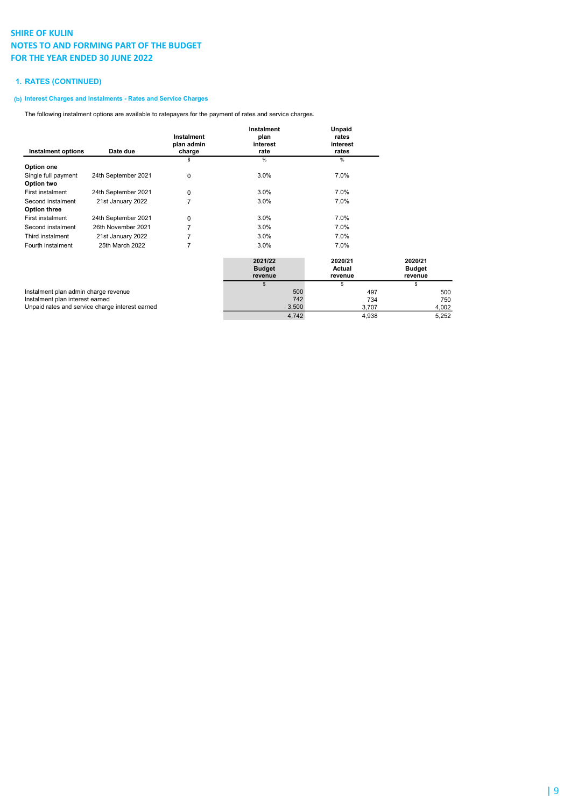### 1. RATES (CONTINUED)

### (b) Interest Charges and Instalments - Rates and Service Charges

The following instalment options are available to ratepayers for the payment of rates and service charges.

|                                      |                                                 | Instalment           | Instalment<br>plan | Unpaid<br>rates   |               |
|--------------------------------------|-------------------------------------------------|----------------------|--------------------|-------------------|---------------|
| <b>Instalment options</b>            | Date due                                        | plan admin<br>charge | interest<br>rate   | interest<br>rates |               |
|                                      |                                                 | S                    | $\%$               | $\%$              |               |
| Option one                           |                                                 |                      |                    |                   |               |
| Single full payment                  | 24th September 2021                             | 0                    | 3.0%               | 7.0%              |               |
| Option two                           |                                                 |                      |                    |                   |               |
| First instalment                     | 24th September 2021                             | 0                    | 3.0%               | 7.0%              |               |
| Second instalment                    | 21st January 2022                               | 7                    | 3.0%               | 7.0%              |               |
| <b>Option three</b>                  |                                                 |                      |                    |                   |               |
| First instalment                     | 24th September 2021                             | 0                    | 3.0%               | 7.0%              |               |
| Second instalment                    | 26th November 2021                              | 7                    | 3.0%               | 7.0%              |               |
| Third instalment                     | 21st January 2022                               |                      | 3.0%               | 7.0%              |               |
| Fourth instalment                    | 25th March 2022                                 | 7                    | 3.0%               | 7.0%              |               |
|                                      |                                                 |                      |                    |                   |               |
|                                      |                                                 |                      | 2021/22            | 2020/21           | 2020/21       |
|                                      |                                                 |                      | <b>Budget</b>      | Actual            | <b>Budget</b> |
|                                      |                                                 |                      | revenue            | revenue           | revenue       |
|                                      |                                                 |                      | \$                 | S                 | S             |
| Instalment plan admin charge revenue |                                                 |                      | 500                | 497               | 500           |
| Instalment plan interest earned      |                                                 |                      | 742                | 734               | 750           |
|                                      | Unpaid rates and service charge interest earned |                      | 3,500              | 3,707             | 4,002         |

4,742 4,938 5,252

Unpaid rates and service charge interest earned 3,500 3,500 3,500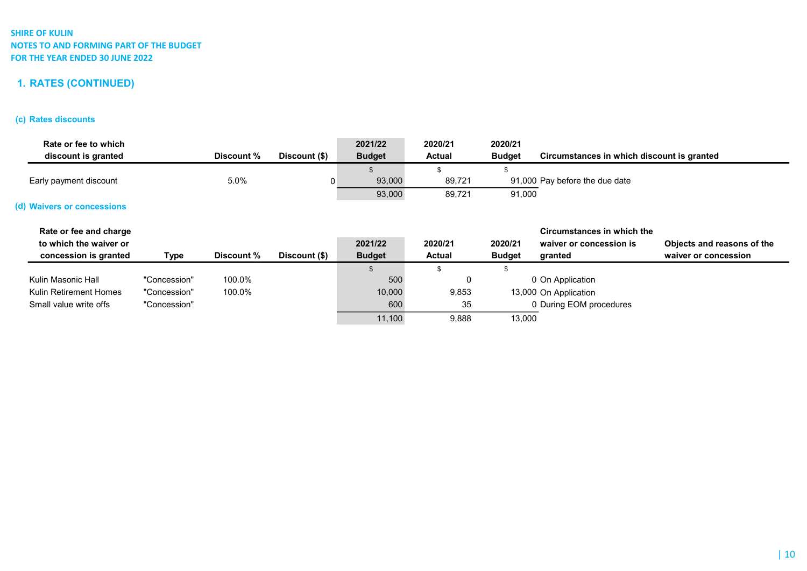# 1. RATES (CONTINUED)

# (c) Rates discounts

| Rate or fee to which<br>discount is granted |              | Discount % | Discount (\$) | 2021/22<br><b>Budget</b> | 2020/21<br><b>Actual</b> | 2020/21<br><b>Budget</b> | Circumstances in which discount is granted |                            |
|---------------------------------------------|--------------|------------|---------------|--------------------------|--------------------------|--------------------------|--------------------------------------------|----------------------------|
|                                             |              |            |               |                          |                          |                          |                                            |                            |
| Early payment discount                      |              | 5.0%       | 0             | 93,000                   | 89,721                   |                          | 91,000 Pay before the due date             |                            |
|                                             |              |            |               | 93,000                   | 89,721                   | 91,000                   |                                            |                            |
| (d) Waivers or concessions                  |              |            |               |                          |                          |                          |                                            |                            |
| Rate or fee and charge                      |              |            |               |                          |                          |                          | Circumstances in which the                 |                            |
| to which the waiver or                      |              |            |               | 2021/22                  | 2020/21                  | 2020/21                  | waiver or concession is                    | Objects and reasons of the |
| concession is granted                       | Type         | Discount % | Discount (\$) | <b>Budget</b>            | <b>Actual</b>            | <b>Budget</b>            | granted                                    | waiver or concession       |
|                                             |              |            |               | \$                       | \$                       |                          |                                            |                            |
| Kulin Masonic Hall                          | "Concession" | 100.0%     |               | 500                      | 0                        |                          | 0 On Application                           |                            |
| Kulin Retirement Homes                      | "Concession" | 100.0%     |               | 10,000                   | 9,853                    |                          | 13,000 On Application                      |                            |
| Small value write offs                      | "Concession" |            |               | 600                      | 35                       |                          | 0 During EOM procedures                    |                            |
|                                             |              |            |               | 11,100                   | 9,888                    | 13,000                   |                                            |                            |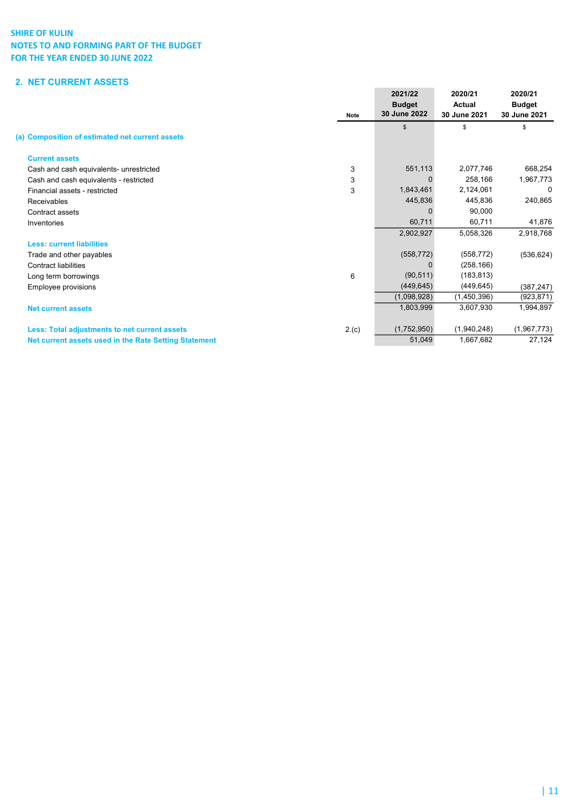# 2. NET CURRENT ASSETS

|                                                       | <b>Note</b> | 2021/22<br><b>Budget</b><br>30 June 2022 | 2020/21<br><b>Actual</b><br>30 June 2021 | 2020/21<br><b>Budget</b><br>30 June 2021 |
|-------------------------------------------------------|-------------|------------------------------------------|------------------------------------------|------------------------------------------|
| (a) Composition of estimated net current assets       |             | $\mathbb{S}$                             | \$                                       | \$                                       |
|                                                       |             |                                          |                                          |                                          |
| <b>Current assets</b>                                 |             |                                          |                                          |                                          |
| Cash and cash equivalents- unrestricted               | 3           | 551,113                                  | 2,077,746                                | 668,254                                  |
| Cash and cash equivalents - restricted                | 3           |                                          | 258,166                                  | 1,967,773                                |
| Financial assets - restricted                         | 3           | 1,843,461                                | 2,124,061                                | - 0                                      |
| Receivables                                           |             | 445,836                                  | 445.836                                  | 240,865                                  |
| Contract assets                                       |             |                                          | 90,000                                   |                                          |
| Inventories                                           |             | 60,711                                   | 60,711                                   | 41,876                                   |
|                                                       |             | 2,902,927                                | 5,058,326                                | 2,918,768                                |
| <b>Less: current liabilities</b>                      |             |                                          |                                          |                                          |
| Trade and other payables                              |             | (558, 772)                               | (558, 772)                               | (536, 624)                               |
| <b>Contract liabilities</b>                           |             |                                          | (258, 166)                               |                                          |
| Long term borrowings                                  | 6           | (90, 511)                                | (183, 813)                               |                                          |
| Employee provisions                                   |             | (449, 645)                               | (449, 645)                               | (387, 247)                               |
|                                                       |             | (1,098,928)                              | (1,450,396)                              | (923, 871)                               |
| <b>Net current assets</b>                             |             | 1,803,999                                | 3,607,930                                | 1,994,897                                |
| Less: Total adjustments to net current assets         | 2.(c)       | (1,752,950)                              | (1,940,248)                              | (1,967,773)                              |
| Net current assets used in the Rate Setting Statement |             | 51,049                                   | 1,667,682                                | 27,124                                   |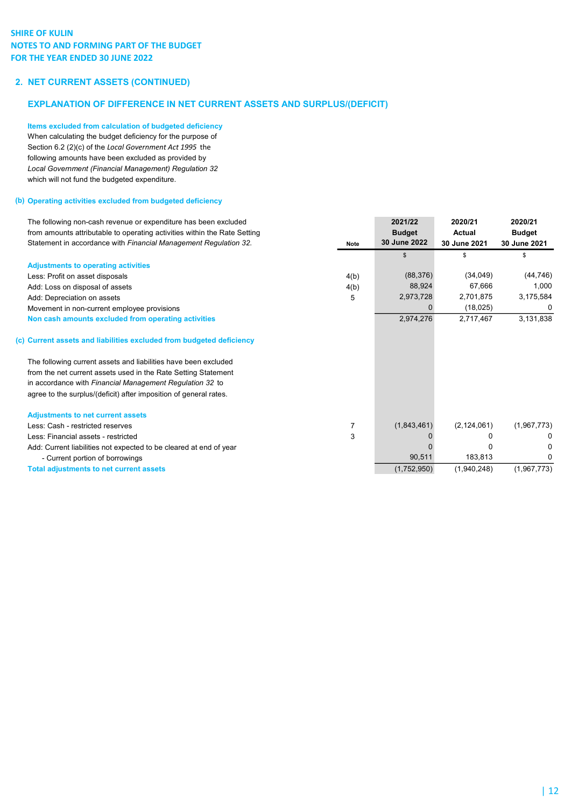## 2. NET CURRENT ASSETS (CONTINUED)

## EXPLANATION OF DIFFERENCE IN NET CURRENT ASSETS AND SURPLUS/(DEFICIT)

Items excluded from calculation of budgeted deficiency When calculating the budget deficiency for the purpose of Section 6.2 (2)(c) of the Local Government Act 1995 the following amounts have been excluded as provided by Local Government (Financial Management) Regulation 32 which will not fund the budgeted expenditure.

### (b) Operating activities excluded from budgeted deficiency

| The following non-cash revenue or expenditure has been excluded<br>from amounts attributable to operating activities within the Rate Setting<br>Statement in accordance with Financial Management Regulation 32. | Note           | 2021/22<br><b>Budget</b><br>30 June 2022 | 2020/21<br><b>Actual</b><br>30 June 2021 | 2020/21<br><b>Budget</b><br>30 June 2021 |
|------------------------------------------------------------------------------------------------------------------------------------------------------------------------------------------------------------------|----------------|------------------------------------------|------------------------------------------|------------------------------------------|
|                                                                                                                                                                                                                  |                | \$                                       | \$                                       | \$                                       |
| <b>Adjustments to operating activities</b>                                                                                                                                                                       |                |                                          |                                          |                                          |
| Less: Profit on asset disposals                                                                                                                                                                                  | 4(b)           | (88, 376)                                | (34, 049)                                | (44, 746)                                |
| Add: Loss on disposal of assets                                                                                                                                                                                  | 4(b)           | 88,924                                   | 67.666                                   | 1,000                                    |
| Add: Depreciation on assets                                                                                                                                                                                      | 5              | 2,973,728                                | 2,701,875                                | 3,175,584                                |
| Movement in non-current employee provisions                                                                                                                                                                      |                | 0                                        | (18,025)                                 | 0                                        |
| Non cash amounts excluded from operating activities                                                                                                                                                              |                | 2,974,276                                | 2,717,467                                | 3,131,838                                |
| (c) Current assets and liabilities excluded from budgeted deficiency                                                                                                                                             |                |                                          |                                          |                                          |
| The following current assets and liabilities have been excluded                                                                                                                                                  |                |                                          |                                          |                                          |
| from the net current assets used in the Rate Setting Statement                                                                                                                                                   |                |                                          |                                          |                                          |
| in accordance with Financial Management Regulation 32 to                                                                                                                                                         |                |                                          |                                          |                                          |
| agree to the surplus/(deficit) after imposition of general rates.                                                                                                                                                |                |                                          |                                          |                                          |
| <b>Adjustments to net current assets</b>                                                                                                                                                                         |                |                                          |                                          |                                          |
| Less: Cash - restricted reserves                                                                                                                                                                                 | $\overline{7}$ | (1,843,461)                              | (2, 124, 061)                            | (1,967,773)                              |
| Less: Financial assets - restricted                                                                                                                                                                              | 3              |                                          |                                          |                                          |
| Add: Current liabilities not expected to be cleared at end of year                                                                                                                                               |                |                                          |                                          |                                          |
| - Current portion of borrowings                                                                                                                                                                                  |                | 90,511                                   | 183,813                                  | 0                                        |
| <b>Total adjustments to net current assets</b>                                                                                                                                                                   |                | (1,752,950)                              | (1,940,248)                              | (1,967,773)                              |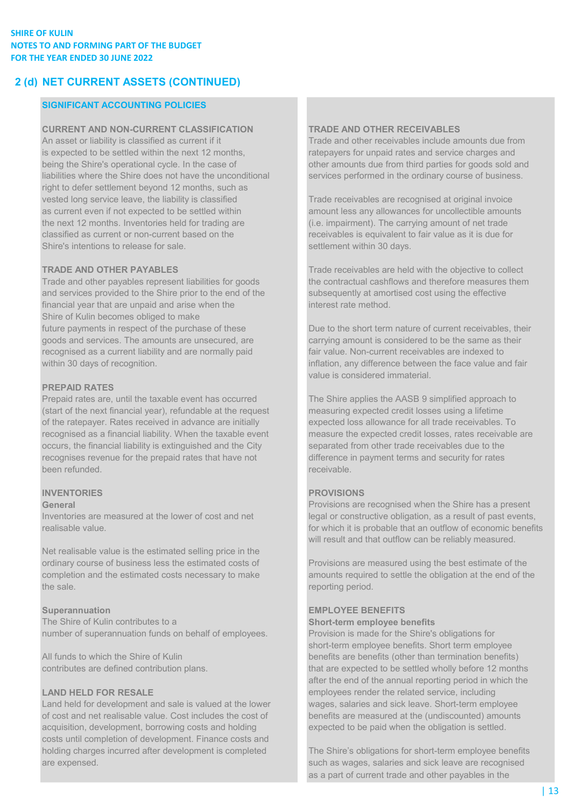# 2 (d) NET CURRENT ASSETS (CONTINUED)

## SIGNIFICANT ACCOUNTING POLICIES

CURRENT AND NON-CURRENT CLASSIFICATION TRADE AND OTHER RECEIVABLES An asset or liability is classified as current if it Trade and other receivables include amounts due from is expected to be settled within the next 12 months, ratepayers for unpaid rates and service charges and being the Shire's operational cycle. In the case of other amounts due from third parties for goods sold and liabilities where the Shire does not have the unconditional services performed in the ordinary course of business. right to defer settlement beyond 12 months, such as vested long service leave, the liability is classified Trade receivables are recognised at original invoice as current even if not expected to be settled within amount less any allowances for uncollectible amounts the next 12 months. Inventories held for trading are (i.e. impairment). The carrying amount of net trade classified as current or non-current based on the receivables is equivalent to fair value as it is due for Shire's intentions to release for sale. Shire's intentions to release for sale.

and services provided to the Shire prior to the end of the subsequently at amortised cost using the effective financial year that are unpaid and arise when the interest rate method. Shire of Kulin becomes obliged to make goods and services. The amounts are unsecured, are carrying amount is considered to be the same as their recognised as a current liability and are normally paid fair value. Non-current receivables are indexed to within 30 days of recognition. inflation, any difference between the face value and fair

### PREPAID RATES

Prepaid rates are, until the taxable event has occurred The Shire applies the AASB 9 simplified approach to (start of the next financial year), refundable at the request measuring expected credit losses using a lifetime of the ratepayer. Rates received in advance are initially expected loss allowance for all trade receivables. To recognised as a financial liability. When the taxable event measure the expected credit losses, rates receivable are occurs, the financial liability is extinguished and the City separated from other trade receivables due to the recognises revenue for the prepaid rates that have not difference in payment terms and security for rates been refunded. **receivable. receivable. receivable. receivable. receivable.** 

## **INVENTORIES** PROVISIONS

Net realisable value is the estimated selling price in the ordinary course of business less the estimated costs of Provisions are measured using the best estimate of the the sale. The sale of the sale of the sale of the sale of the sale of the sale of the sale of the sale of the sale of the sale of the sale of the sale of the sale of the sale of the sale of the sale of the sale of the sale

The Shire of Kulin contributes to a Short-term employee benefits number of superannuation funds on behalf of employees. Provision is made for the Shire's obligations for

of cost and net realisable value. Cost includes the cost of benefits are measured at the (undiscounted) amounts acquisition, development, borrowing costs and holding expected to be paid when the obligation is settled. costs until completion of development. Finance costs and holding charges incurred after development is completed The Shire's obligations for short-term employee benefits are expensed. such as wages, salaries and sick leave are recognised

TRADE AND OTHER PAYABLES Trade receivables are held with the objective to collect Trade and other payables represent liabilities for goods the contractual cashflows and therefore measures them

future payments in respect of the purchase of these Due to the short term nature of current receivables, their value is considered immaterial.

General **Provisions are recognised when the Shire has a present** Provisions are recognised when the Shire has a present Inventories are measured at the lower of cost and net legal or constructive obligation, as a result of past events, realisable value. for which it is probable that an outflow of economic benefits will result and that outflow can be reliably measured.

completion and the estimated costs necessary to make amounts required to settle the obligation at the end of the

### Superannuation EMPLOYEE BENEFITS

short-term employee benefits. Short term employee All funds to which the Shire of Kulin benefits are benefits are benefits (other than termination benefits) contributes are defined contribution plans. that are expected to be settled wholly before 12 months after the end of the annual reporting period in which the LAND HELD FOR RESALE employees render the related service, including Land held for development and sale is valued at the lower wages, salaries and sick leave. Short-term employee

as a part of current trade and other payables in the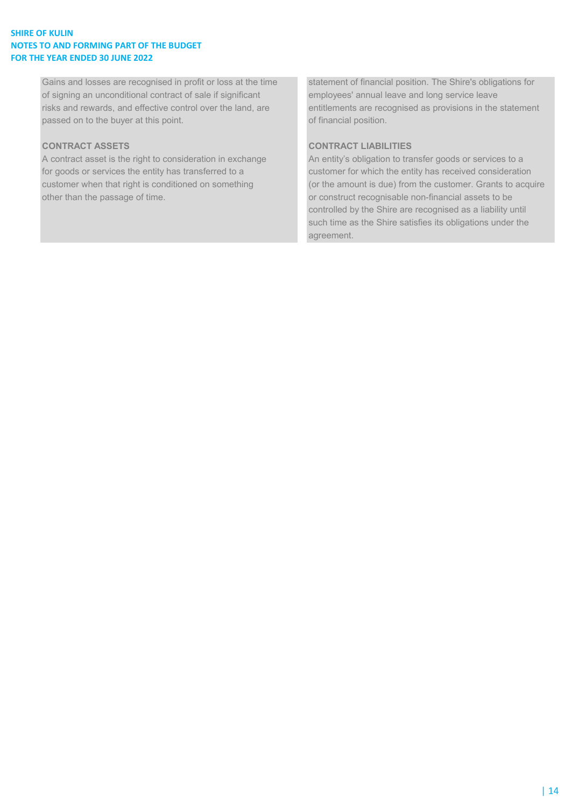Gains and losses are recognised in profit or loss at the time statement of financial position. The Shire's obligations for of signing an unconditional contract of sale if significant employees' annual leave and long service leave risks and rewards, and effective control over the land, are entitlements are recognised as provisions in the statement passed on to the buyer at this point. The contract of financial position.

A contract asset is the right to consideration in exchange An entity's obligation to transfer goods or services to a for goods or services the entity has transferred to a customer for which the entity has received consideration other than the passage of time.  $\blacksquare$  or construct recognisable non-financial assets to be

# CONTRACT ASSETS CONTRACT LIABILITIES

customer when that right is conditioned on something (or the amount is due) from the customer. Grants to acquire controlled by the Shire are recognised as a liability until such time as the Shire satisfies its obligations under the agreement.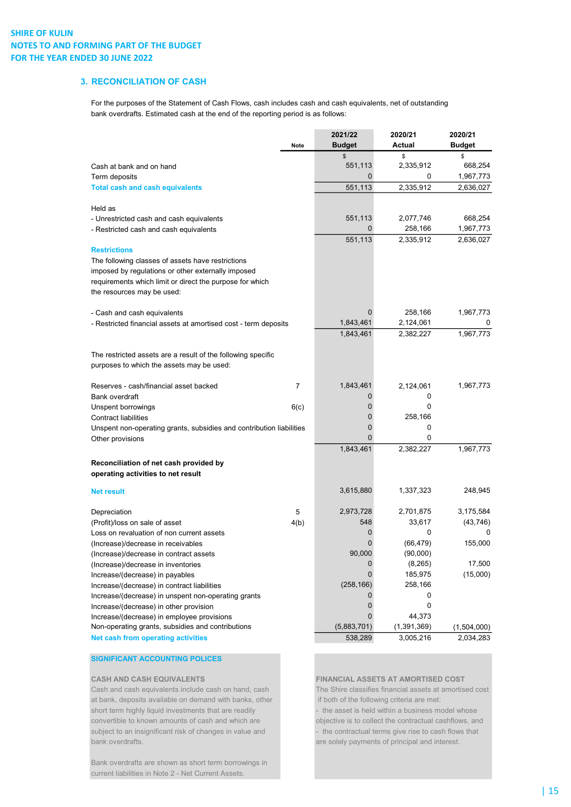## 3. RECONCILIATION OF CASH

For the purposes of the Statement of Cash Flows, cash includes cash and cash equivalents, net of outstanding bank overdrafts. Estimated cash at the end of the reporting period is as follows:

|                                                                      |                | 2021/22       | 2020/21       | 2020/21       |
|----------------------------------------------------------------------|----------------|---------------|---------------|---------------|
|                                                                      | <b>Note</b>    | <b>Budget</b> | Actual        | <b>Budget</b> |
|                                                                      |                | \$            | \$            | \$            |
| Cash at bank and on hand                                             |                | 551,113       | 2,335,912     | 668,254       |
| Term deposits                                                        |                | 0             | 0             | 1,967,773     |
| <b>Total cash and cash equivalents</b>                               |                | 551,113       | 2,335,912     | 2,636,027     |
| Held as                                                              |                |               |               |               |
| - Unrestricted cash and cash equivalents                             |                | 551,113       | 2,077,746     | 668,254       |
| - Restricted cash and cash equivalents                               |                | 0             | 258,166       | 1,967,773     |
|                                                                      |                | 551,113       | 2,335,912     | 2,636,027     |
| <b>Restrictions</b>                                                  |                |               |               |               |
| The following classes of assets have restrictions                    |                |               |               |               |
| imposed by regulations or other externally imposed                   |                |               |               |               |
| requirements which limit or direct the purpose for which             |                |               |               |               |
| the resources may be used:                                           |                |               |               |               |
| - Cash and cash equivalents                                          |                | 0             | 258,166       | 1,967,773     |
| - Restricted financial assets at amortised cost - term deposits      |                | 1,843,461     | 2,124,061     |               |
|                                                                      |                | 1,843,461     | 2,382,227     | 1,967,773     |
|                                                                      |                |               |               |               |
| The restricted assets are a result of the following specific         |                |               |               |               |
| purposes to which the assets may be used:                            |                |               |               |               |
| Reserves - cash/financial asset backed                               | $\overline{7}$ | 1,843,461     | 2,124,061     | 1,967,773     |
| Bank overdraft                                                       |                | 0             | 0             |               |
| Unspent borrowings                                                   | 6(c)           | 0             | 0             |               |
| <b>Contract liabilities</b>                                          |                | 0             | 258,166       |               |
| Unspent non-operating grants, subsidies and contribution liabilities |                | 0             | 0             |               |
| Other provisions                                                     |                | 0             | 0             |               |
|                                                                      |                | 1,843,461     | 2,382,227     | 1,967,773     |
| Reconciliation of net cash provided by                               |                |               |               |               |
| operating activities to net result                                   |                |               |               |               |
| <b>Net result</b>                                                    |                | 3,615,880     | 1,337,323     | 248,945       |
| Depreciation                                                         | 5              | 2,973,728     | 2,701,875     | 3,175,584     |
| (Profit)/loss on sale of asset                                       | 4(b)           | 548           | 33,617        | (43, 746)     |
| Loss on revaluation of non current assets                            |                | 0             | 0             | 0             |
| (Increase)/decrease in receivables                                   |                | 0             | (66, 479)     | 155,000       |
| (Increase)/decrease in contract assets                               |                | 90,000        | (90,000)      |               |
| (Increase)/decrease in inventories                                   |                | 0             | (8, 265)      | 17,500        |
| Increase/(decrease) in payables                                      |                | 0             | 185,975       | (15,000)      |
| Increase/(decrease) in contract liabilities                          |                | (258, 166)    | 258,166       |               |
| Increase/(decrease) in unspent non-operating grants                  |                | 0             | 0             |               |
| Increase/(decrease) in other provision                               |                | 0             | 0             |               |
| Increase/(decrease) in employee provisions                           |                | 0             | 44,373        |               |
| Non-operating grants, subsidies and contributions                    |                | (5,883,701)   | (1, 391, 369) | (1,504,000)   |
| Net cash from operating activities                                   |                | 538,289       | 3,005,216     | 2,034,283     |

### SIGNIFICANT ACCOUNTING POLICES

Cash and cash equivalents include cash on hand, cash The Shire classifies financial assets at amortised cost at bank, deposits available on demand with banks, other if both of the following criteria are met: short term highly liquid investments that are readily - the asset is held within a business model whose convertible to known amounts of cash and which are objective is to collect the contractual cashflows, and subject to an insignificant risk of changes in value and - the contractual terms give rise to cash flows that bank overdrafts. are solely payments of principal and interest.

Bank overdrafts are shown as short term borrowings in current liabilities in Note 2 - Net Current Assets.

CASH AND CASH EQUIVALENTS FINANCIAL ASSETS AT AMORTISED COST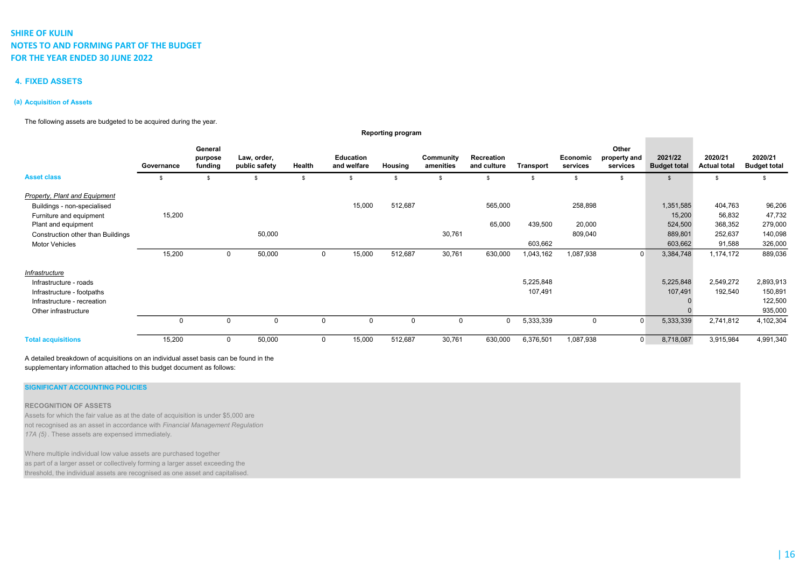### 4. FIXED ASSETS

### (a) Acquisition of Assets

The following assets are budgeted to be acquired during the year.

|                                                              |             |                               |                              |          |                                 | <b>Reporting program</b> |                        |                           |                      |                      |                                   |                                |                                |                                |
|--------------------------------------------------------------|-------------|-------------------------------|------------------------------|----------|---------------------------------|--------------------------|------------------------|---------------------------|----------------------|----------------------|-----------------------------------|--------------------------------|--------------------------------|--------------------------------|
|                                                              | Governance  | General<br>purpose<br>funding | Law, order,<br>public safety | Health   | <b>Education</b><br>and welfare | Housing                  | Community<br>amenities | Recreation<br>and culture | Transport            | Economic<br>services | Other<br>property and<br>services | 2021/22<br><b>Budget total</b> | 2020/21<br><b>Actual total</b> | 2020/21<br><b>Budget total</b> |
| <b>Asset class</b>                                           |             | \$                            |                              | \$       | <b>S</b>                        | \$                       |                        |                           |                      | - \$                 | £.                                |                                | S                              |                                |
| Property, Plant and Equipment<br>Buildings - non-specialised |             |                               |                              |          | 15,000                          | 512,687                  |                        | 565,000                   |                      | 258,898              |                                   | 1,351,585                      | 404,763                        | 96,206                         |
| Furniture and equipment<br>Plant and equipment               | 15,200      |                               |                              |          |                                 |                          |                        | 65,000                    | 439,500              | 20,000               |                                   | 15,200<br>524,500              | 56,832<br>368,352              | 47,732<br>279,000              |
| Construction other than Buildings<br>Motor Vehicles          |             |                               | 50,000                       |          |                                 |                          | 30,761                 |                           | 603,662              | 809,040              |                                   | 889,801<br>603,662             | 252,637<br>91,588              | 140,098<br>326,000             |
|                                                              | 15,200      |                               | 50,000<br>0                  | 0        | 15,000                          | 512,687                  | 30,761                 | 630,000                   | 1,043,162            | 1,087,938            | $\Omega$                          | 3,384,748                      | 1,174,172                      | 889,036                        |
| Infrastructure                                               |             |                               |                              |          |                                 |                          |                        |                           |                      |                      |                                   |                                |                                |                                |
| Infrastructure - roads<br>Infrastructure - footpaths         |             |                               |                              |          |                                 |                          |                        |                           | 5,225,848<br>107,491 |                      |                                   | 5,225,848<br>107,491           | 2,549,272<br>192,540           | 2,893,913<br>150,891           |
| Infrastructure - recreation<br>Other infrastructure          |             |                               |                              |          |                                 |                          |                        |                           |                      |                      |                                   |                                |                                | 122,500<br>935,000             |
|                                                              | $\mathbf 0$ |                               | $\mathbf 0$<br>$\Omega$      | $\Omega$ | $\Omega$                        | $\Omega$                 | $\Omega$               | 0                         | 5,333,339            | 0                    |                                   | 5,333,339                      | 2,741,812                      | 4,102,304                      |
| <b>Total acquisitions</b>                                    | 15,200      |                               | 50,000<br>$\mathbf{0}$       | 0        | 15,000                          | 512,687                  | 30,761                 | 630,000                   | 6,376,501            | 1,087,938            | $\Omega$                          | 8,718,087                      | 3,915,984                      | 4,991,340                      |

A detailed breakdown of acquisitions on an individual asset basis can be found in the supplementary information attached to this budget document as follows:

### SIGNIFICANT ACCOUNTING POLICIES

### RECOGNITION OF ASSETS

Assets for which the fair value as at the date of acquisition is under \$5,000 are not recognised as an asset in accordance with Financial Management Regulation 17A (5). These assets are expensed immediately.

Where multiple individual low value assets are purchased together as part of a larger asset or collectively forming a larger asset exceeding the threshold, the individual assets are recognised as one asset and capitalised.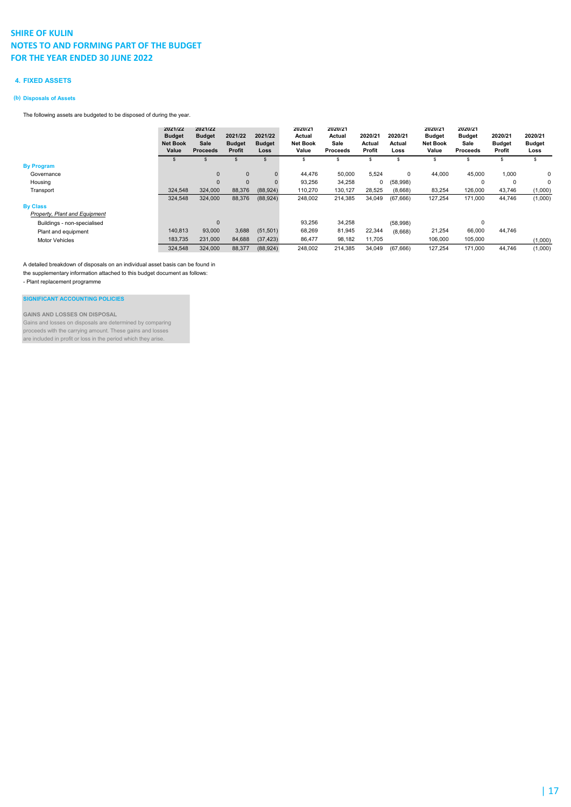### 4. FIXED ASSETS

### (b) Disposals of Assets

The following assets are budgeted to be disposed of during the year.

|                               | 2021/22<br><b>Budget</b><br><b>Net Book</b><br>Value | 2021/22<br><b>Budget</b><br>Sale<br><b>Proceeds</b> | 2021/22<br><b>Budget</b><br>Profit | 2021/22<br><b>Budget</b><br>Loss | 2020/21<br>Actual<br><b>Net Book</b><br>Value | 2020/21<br>Actual<br>Sale<br><b>Proceeds</b> | 2020/21<br>Actual<br>Profit | 2020/21<br>Actual<br>Loss | 2020/21<br><b>Budget</b><br><b>Net Book</b><br>Value | 2020/21<br><b>Budget</b><br>Sale<br><b>Proceeds</b> | 2020/21<br><b>Budget</b><br>Profit | 2020/21<br><b>Budget</b><br>Loss |
|-------------------------------|------------------------------------------------------|-----------------------------------------------------|------------------------------------|----------------------------------|-----------------------------------------------|----------------------------------------------|-----------------------------|---------------------------|------------------------------------------------------|-----------------------------------------------------|------------------------------------|----------------------------------|
|                               |                                                      |                                                     | \$                                 |                                  | s                                             | s                                            | s                           | s                         | S                                                    | \$                                                  | $\mathcal{F}$                      | s                                |
| <b>By Program</b>             |                                                      |                                                     |                                    |                                  |                                               |                                              |                             |                           |                                                      |                                                     |                                    |                                  |
| Governance                    |                                                      | $\mathbf{0}$                                        | $\mathbf{0}$                       |                                  | 44.476                                        | 50,000                                       | 5,524                       | 0                         | 44,000                                               | 45,000                                              | 1.000                              | 0                                |
| Housing                       |                                                      | $\mathbf{0}$                                        | $\mathbf{0}$                       | 0                                | 93,256                                        | 34,258                                       | 0                           | (58,998)                  |                                                      | $\Omega$                                            | 0                                  | 0                                |
| Transport                     | 324,548                                              | 324,000                                             | 88,376                             | (88, 924)                        | 110,270                                       | 130,127                                      | 28,525                      | (8,668)                   | 83,254                                               | 126,000                                             | 43,746                             | (1,000)                          |
|                               | 324,548                                              | 324,000                                             | 88,376                             | (88, 924)                        | 248,002                                       | 214,385                                      | 34,049                      | (67,666)                  | 127,254                                              | 171,000                                             | 44,746                             | (1,000)                          |
| <b>By Class</b>               |                                                      |                                                     |                                    |                                  |                                               |                                              |                             |                           |                                                      |                                                     |                                    |                                  |
| Property, Plant and Equipment |                                                      |                                                     |                                    |                                  |                                               |                                              |                             |                           |                                                      |                                                     |                                    |                                  |
| Buildings - non-specialised   |                                                      | 0                                                   |                                    |                                  | 93,256                                        | 34,258                                       |                             | (58,998)                  |                                                      | $\Omega$                                            |                                    |                                  |
| Plant and equipment           | 140.813                                              | 93,000                                              | 3,688                              | (51, 501)                        | 68,269                                        | 81,945                                       | 22,344                      | (8,668)                   | 21,254                                               | 66,000                                              | 44.746                             |                                  |
| <b>Motor Vehicles</b>         | 183,735                                              | 231,000                                             | 84,688                             | (37, 423)                        | 86,477                                        | 98,182                                       | 11,705                      |                           | 106,000                                              | 105,000                                             |                                    | (1,000)                          |
|                               | 324,548                                              | 324,000                                             | 88,377                             | (88, 924)                        | 248,002                                       | 214,385                                      | 34,049                      | (67,666)                  | 127,254                                              | 171,000                                             | 44,746                             | (1,000)                          |

A detailed breakdown of disposals on an individual asset basis can be found in

the supplementary information attached to this budget document as follows:

- Plant replacement programme

SIGNIFICANT ACCOUNTING POLICIES

GAINS AND LOSSES ON DISPOSAL Gains and losses on disposals are determined by comparing proceeds with the carrying amount. These gains and losses are included in profit or loss in the period which they arise.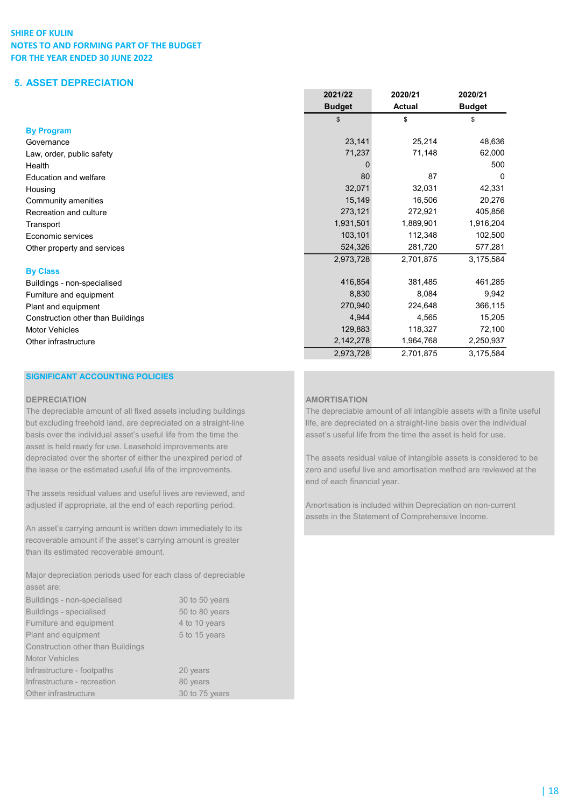# 5. ASSET DEPRECIATION

|                                   | 2021/22       | 2020/21       | 2020/21       |
|-----------------------------------|---------------|---------------|---------------|
|                                   | <b>Budget</b> | <b>Actual</b> | <b>Budget</b> |
|                                   | \$            | \$            | \$            |
| <b>By Program</b>                 |               |               |               |
| Governance                        | 23,141        | 25,214        | 48,636        |
| Law, order, public safety         | 71,237        | 71,148        | 62,000        |
| Health                            |               |               | 500           |
| <b>Education and welfare</b>      | 80            | 87            | 0             |
| Housing                           | 32,071        | 32,031        | 42,331        |
| Community amenities               | 15,149        | 16,506        | 20,276        |
| Recreation and culture            | 273,121       | 272,921       | 405,856       |
| Transport                         | 1,931,501     | 1,889,901     | 1,916,204     |
| Economic services                 | 103,101       | 112,348       | 102,500       |
| Other property and services       | 524,326       | 281,720       | 577,281       |
|                                   | 2,973,728     | 2,701,875     | 3,175,584     |
| <b>By Class</b>                   |               |               |               |
| Buildings - non-specialised       | 416,854       | 381,485       | 461,285       |
| Furniture and equipment           | 8,830         | 8,084         | 9,942         |
| Plant and equipment               | 270,940       | 224,648       | 366,115       |
| Construction other than Buildings | 4,944         | 4,565         | 15,205        |
| <b>Motor Vehicles</b>             | 129,883       | 118,327       | 72,100        |
| Other infrastructure              | 2,142,278     | 1,964,768     | 2,250,937     |
|                                   | 2,973,728     | 2,701,875     | 3,175,584     |

## SIGNIFICANT ACCOUNTING POLICIES

basis over the individual asset's useful life from the time the asset's useful life from the time the asset is held for use. asset is held ready for use. Leasehold improvements are

The assets residual values and useful lives are reviewed, and adjusted if appropriate, at the end of each reporting period. Amortisation is included within Depreciation on non-current

An asset's carrying amount is written down immediately to its recoverable amount if the asset's carrying amount is greater than its estimated recoverable amount.

Major depreciation periods used for each class of depreciable asset are:

| Buildings - non-specialised              | 30 to 50 years |
|------------------------------------------|----------------|
| <b>Buildings - specialised</b>           | 50 to 80 years |
| Furniture and equipment                  | 4 to 10 years  |
| Plant and equipment                      | 5 to 15 years  |
| <b>Construction other than Buildings</b> |                |
| <b>Motor Vehicles</b>                    |                |
| Infrastructure - footpaths               | 20 years       |
| Infrastructure - recreation              | 80 years       |
| Other infrastructure                     | 30 to 75 years |

## DEPRECIATION **AMORTISATION**

The depreciable amount of all fixed assets including buildings The depreciable amount of all intangible assets with a finite useful but excluding freehold land, are depreciated on a straight-line life, are depreciated on a straight-line basis over the individual

depreciated over the shorter of either the unexpired period of The assets residual value of intangible assets is considered to be the lease or the estimated useful life of the improvements. zero and useful live and amortisation method are reviewed at the end of each financial year.

assets in the Statement of Comprehensive Income.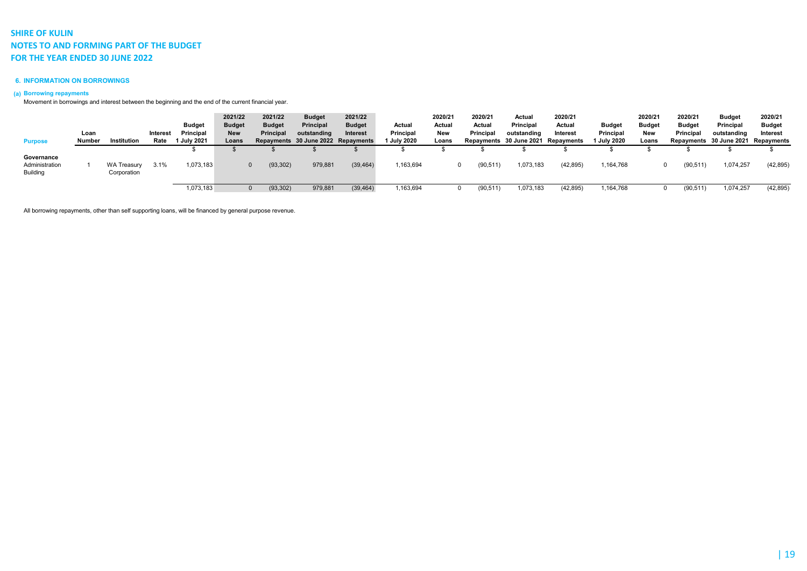### 6. INFORMATION ON BORROWINGS

### (a) Borrowing repayments

Movement in borrowings and interest between the beginning and the end of the current financial year.

|                                                 | Loan   |                                   | Interest | <b>Budget</b><br>Principal | 2021/22<br><b>Budget</b><br><b>New</b> | 2021/22<br><b>Budget</b><br><b>Principal</b> | <b>Budget</b><br>Principal<br>outstanding | 2021/22<br><b>Budget</b><br>Interest | Actual<br>Principal | 2020/21<br>Actual<br>New | 2020/21<br>Actual<br>Principal | Actual<br>Principal<br>outstanding | 2020/21<br>Actual<br>Interest      | <b>Budget</b><br>Principal | 2020/21<br><b>Budget</b><br>New | 2020/21<br><b>Budget</b><br><b>Principal</b> | Budget<br>Principal<br>outstanding | 2020/21<br><b>Budget</b><br>Interest |
|-------------------------------------------------|--------|-----------------------------------|----------|----------------------------|----------------------------------------|----------------------------------------------|-------------------------------------------|--------------------------------------|---------------------|--------------------------|--------------------------------|------------------------------------|------------------------------------|----------------------------|---------------------------------|----------------------------------------------|------------------------------------|--------------------------------------|
| <b>Purpose</b>                                  | Number | Institution                       | Rate     | 1 July 2021                | Loans                                  |                                              |                                           | Repayments 30 June 2022 Repayments   | 1 July 2020         | Loans                    |                                |                                    | Repayments 30 June 2021 Repayments | 1 July 2020                | Loans                           |                                              | Repayments 30 June 2021 Repayments |                                      |
| Governance<br>Administration<br><b>Building</b> |        | <b>WA Treasury</b><br>Corporation | 3.1%     | ,073,183                   |                                        | (93, 302)                                    | 979,881                                   | (39, 464)                            | .163,694            |                          | 90,511                         | 073,183                            | (42, 895)                          | ,164,768                   |                                 | (90, 511)                                    | ,074,257                           | (42, 895)                            |
|                                                 |        |                                   |          | 1,073,183                  |                                        | (93, 302)                                    | 979,881                                   | (39, 464)                            | ,163,694            |                          | 90,511)                        | ,073,183                           | (42, 895)                          | ,164,768                   |                                 | (90, 511)                                    | ,074,257                           | (42, 895)                            |

All borrowing repayments, other than self supporting loans, will be financed by general purpose revenue.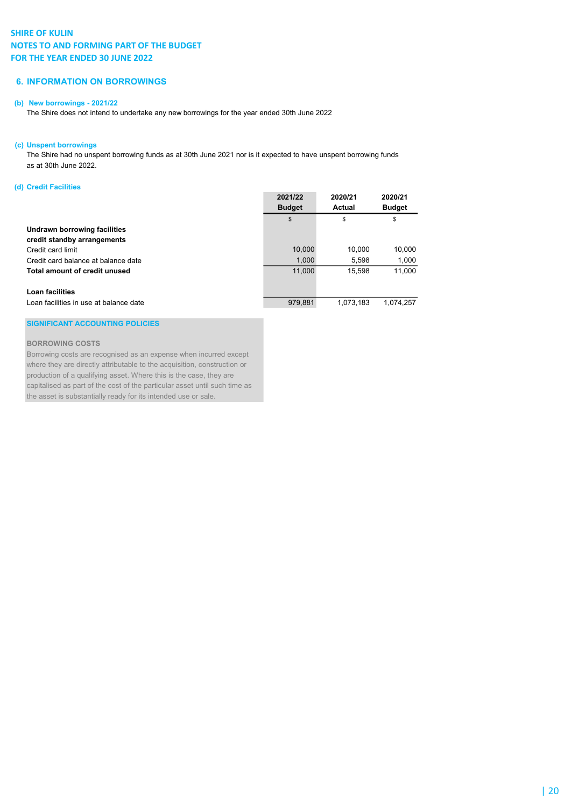## 6. INFORMATION ON BORROWINGS

### (b) New borrowings - 2021/22

The Shire does not intend to undertake any new borrowings for the year ended 30th June 2022

### (c) Unspent borrowings

The Shire had no unspent borrowing funds as at 30th June 2021 nor is it expected to have unspent borrowing funds as at 30th June 2022.

### (d) Credit Facilities

|                                        | 2021/22<br><b>Budget</b> | 2020/21<br><b>Actual</b> | 2020/21<br><b>Budget</b> |
|----------------------------------------|--------------------------|--------------------------|--------------------------|
|                                        | \$                       | \$                       | \$                       |
| Undrawn borrowing facilities           |                          |                          |                          |
| credit standby arrangements            |                          |                          |                          |
| Credit card limit                      | 10,000                   | 10,000                   | 10,000                   |
| Credit card balance at balance date    | 1,000                    | 5,598                    | 1,000                    |
| Total amount of credit unused          | 11,000                   | 15.598                   | 11,000                   |
| Loan facilities                        |                          |                          |                          |
| Loan facilities in use at balance date | 979.881                  | 1.073.183                | 1.074.257                |

### SIGNIFICANT ACCOUNTING POLICIES

### BORROWING COSTS

Borrowing costs are recognised as an expense when incurred except where they are directly attributable to the acquisition, construction or production of a qualifying asset. Where this is the case, they are capitalised as part of the cost of the particular asset until such time as the asset is substantially ready for its intended use or sale.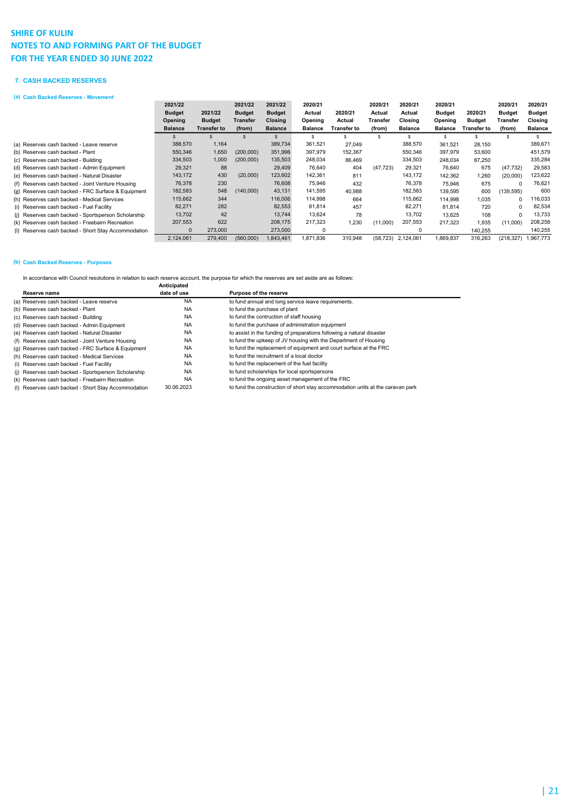### 7. CASH BACKED RESERVES

(a) Cash Backed Reserves - Movement

| (a) Cash Backed Reserves - Movement                 |                |               |               |                |                |             |           |                    |                |             |               |                |
|-----------------------------------------------------|----------------|---------------|---------------|----------------|----------------|-------------|-----------|--------------------|----------------|-------------|---------------|----------------|
|                                                     | 2021/22        |               | 2021/22       | 2021/22        | 2020/21        |             | 2020/21   | 2020/21            | 2020/21        |             | 2020/21       | 2020/21        |
|                                                     | <b>Budget</b>  | 2021/22       | <b>Budget</b> | <b>Budget</b>  | Actual         | 2020/21     | Actual    | Actual             | <b>Budget</b>  | 2020/21     | <b>Budget</b> | <b>Budget</b>  |
|                                                     | Opening        | <b>Budget</b> | Transfer      | Closing        | Opening        | Actual      | Transfer  | Closing            | Opening        | Budget      | Transfer      | Closing        |
|                                                     | <b>Balance</b> | Transfer to   | (from)        | <b>Balance</b> | <b>Balance</b> | Transfer to | (from)    | <b>Balance</b>     | <b>Balance</b> | Transfer to | (from)        | <b>Balance</b> |
|                                                     |                |               |               |                |                |             |           |                    |                |             |               |                |
| (a) Reserves cash backed - Leave reserve            | 388,570        | 1,164         |               | 389,734        | 361,521        | 27,049      |           | 388,570            | 361.521        | 28,150      |               | 389,671        |
| (b) Reserves cash backed - Plant                    | 550,346        | 1,650         | (200,000)     | 351,996        | 397,979        | 152,367     |           | 550,346            | 397.979        | 53,600      |               | 451,579        |
| (c) Reserves cash backed - Building                 | 334,503        | 1,000         | (200,000)     | 135,503        | 248,034        | 86.469      |           | 334,503            | 248.034        | 87.250      |               | 335,284        |
| (d) Reserves cash backed - Admin Equipment          | 29,321         | 88            |               | 29,409         | 76,640         | 404         | (47, 723) | 29,321             | 76.640         | 675         | (47, 732)     | 29,583         |
| (e) Reserves cash backed - Natural Disaster         | 143,172        | 430           | (20,000)      | 123,602        | 142,361        | 811         |           | 143,172            | 142.362        | 1,260       | (20,000)      | 123,622        |
| (f) Reserves cash backed - Joint Venture Housing    | 76,378         | 230           |               | 76,608         | 75,946         | 432         |           | 76,378             | 75.946         | 675         | $\Omega$      | 76,621         |
| (g) Reserves cash backed - FRC Surface & Equipment  | 182,583        | 548           | (140,000)     | 43,131         | 141,595        | 40,988      |           | 182,583            | 139,595        | 600         | (139, 595)    | 600            |
| (h) Reserves cash backed - Medical Services         | 115,662        | 344           |               | 116,006        | 114,998        | 664         |           | 115,662            | 114.998        | 1,035       | 0             | 16,033         |
| (i) Reserves cash backed - Fuel Facility            | 82,271         | 282           |               | 82,553         | 81,814         | 457         |           | 82,271             | 81.814         | 720         | $\Omega$      | 82,534         |
| (i) Reserves cash backed - Sportsperson Scholarship | 13,702         | 42            |               | 13,744         | 13,624         | 78          |           | 13,702             | 13.625         | 108         | $\Omega$      | 13,733         |
| (k) Reserves cash backed - Freebairn Recreation     | 207,553        | 622           |               | 208,175        | 217,323        | 1,230       | (11,000)  | 207,553            | 217.323        | 1,935       | (11,000)      | 208,258        |
| (I) Reserves cash backed - Short Stay Accommodation | $\mathbf{0}$   | 273,000       |               | 273,000        | 0              |             |           | $\Omega$           |                | 140,255     |               | 140,255        |
|                                                     | 2,124,061      | 279,400       | (560,000)     | 1,843,461      | 871,836        | 310,948     |           | (58,723) 2,124,061 | 1,869,837      | 316,263     | (218, 327)    | 1,967,773      |

### (b) Cash Backed Reserves - Purposes

In accordance with Council resolutions in relation to each reserve account, the purpose for which the reserves are set aside are as follows:

|                                                     | Anticipated |                                                                                |
|-----------------------------------------------------|-------------|--------------------------------------------------------------------------------|
| Reserve name                                        | date of use | Purpose of the reserve                                                         |
| (a) Reserves cash backed - Leave reserve            | <b>NA</b>   | to fund annual and long service leave requirements.                            |
| (b) Reserves cash backed - Plant                    | <b>NA</b>   | to fund the purchase of plant                                                  |
| (c) Reserves cash backed - Building                 | <b>NA</b>   | to fund the contruction of staff housing                                       |
| (d) Reserves cash backed - Admin Equipment          | <b>NA</b>   | to fund the purchase of administration equipment                               |
| (e) Reserves cash backed - Natural Disaster         | <b>NA</b>   | to assist in the funding of preparations following a natural disaster          |
| (f) Reserves cash backed - Joint Venture Housing    | <b>NA</b>   | to fund the upkeep of JV housing with the Department of Housing                |
| (g) Reserves cash backed - FRC Surface & Equipment  | <b>NA</b>   | to fund the replacement of equipment and court surface at the FRC              |
| (h) Reserves cash backed - Medical Services         | <b>NA</b>   | to fund the recruitment of a local doctor                                      |
| (i) Reserves cash backed - Fuel Facility            | <b>NA</b>   | to fund the replacement of the fuel facility                                   |
| (i) Reserves cash backed - Sportsperson Scholarship | <b>NA</b>   | to fund scholarships for local sportspersons                                   |
| (k) Reserves cash backed - Freebairn Recreation     | <b>NA</b>   | to fund the ongoing asset management of the FRC                                |
| (I) Reserves cash backed - Short Stay Accommodation | 30.06.2023  | to fund the construction of short stay accommodation units at the caravan park |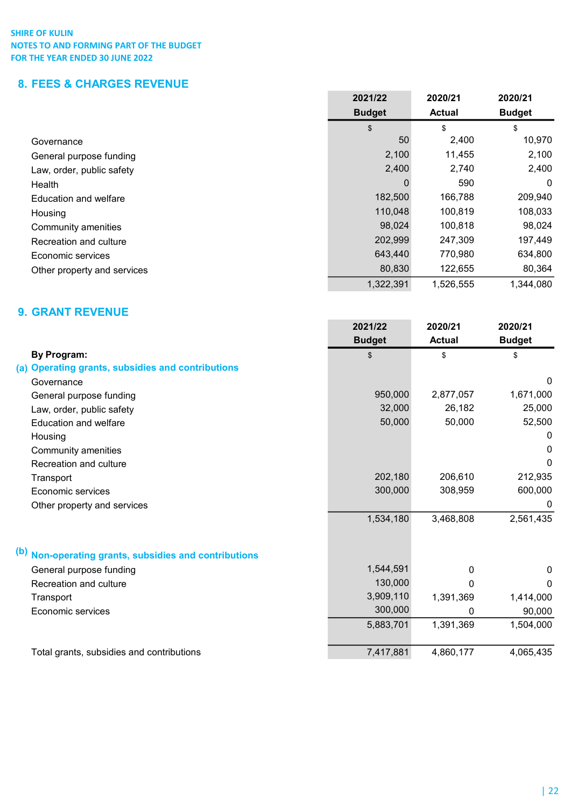# 8. FEES & CHARGES REVENUE

|                             | 2021/22       | 2020/21       | 2020/21       |
|-----------------------------|---------------|---------------|---------------|
|                             | <b>Budget</b> | <b>Actual</b> | <b>Budget</b> |
|                             | \$            | \$            | \$            |
| Governance                  | 50            | 2,400         | 10,970        |
| General purpose funding     | 2,100         | 11,455        | 2,100         |
| Law, order, public safety   | 2,400         | 2,740         | 2,400         |
| Health                      | 0             | 590           | 0             |
| Education and welfare       | 182,500       | 166,788       | 209,940       |
| Housing                     | 110,048       | 100,819       | 108,033       |
| Community amenities         | 98,024        | 100,818       | 98,024        |
| Recreation and culture      | 202,999       | 247,309       | 197,449       |
| Economic services           | 643,440       | 770,980       | 634,800       |
| Other property and services | 80,830        | 122,655       | 80,364        |
|                             | 1,322,391     | 1,526,555     | 1,344,080     |

# 9. GRANT REVENUE

|                                                          | 2021/22       | 2020/21       | 2020/21       |
|----------------------------------------------------------|---------------|---------------|---------------|
|                                                          | <b>Budget</b> | <b>Actual</b> | <b>Budget</b> |
| <b>By Program:</b>                                       | \$            | \$            | \$            |
| (a) Operating grants, subsidies and contributions        |               |               |               |
| Governance                                               |               |               | 0             |
| General purpose funding                                  | 950,000       | 2,877,057     | 1,671,000     |
| Law, order, public safety                                | 32,000        | 26,182        | 25,000        |
| <b>Education and welfare</b>                             | 50,000        | 50,000        | 52,500        |
| Housing                                                  |               |               | 0             |
| Community amenities                                      |               |               | 0             |
| Recreation and culture                                   |               |               | 0             |
| Transport                                                | 202,180       | 206,610       | 212,935       |
| Economic services                                        | 300,000       | 308,959       | 600,000       |
| Other property and services                              |               |               | $\mathbf{0}$  |
|                                                          | 1,534,180     | 3,468,808     | 2,561,435     |
| (b)<br>Non-operating grants, subsidies and contributions |               |               |               |
| General purpose funding                                  | 1,544,591     | 0             | 0             |
| Recreation and culture                                   | 130,000       | U             | <sup>0</sup>  |
| Transport                                                | 3,909,110     | 1,391,369     | 1,414,000     |
| Economic services                                        | 300,000       | $\Omega$      | 90,000        |
|                                                          | 5,883,701     | 1,391,369     | 1,504,000     |
| Total grants, subsidies and contributions                | 7,417,881     | 4,860,177     | 4,065,435     |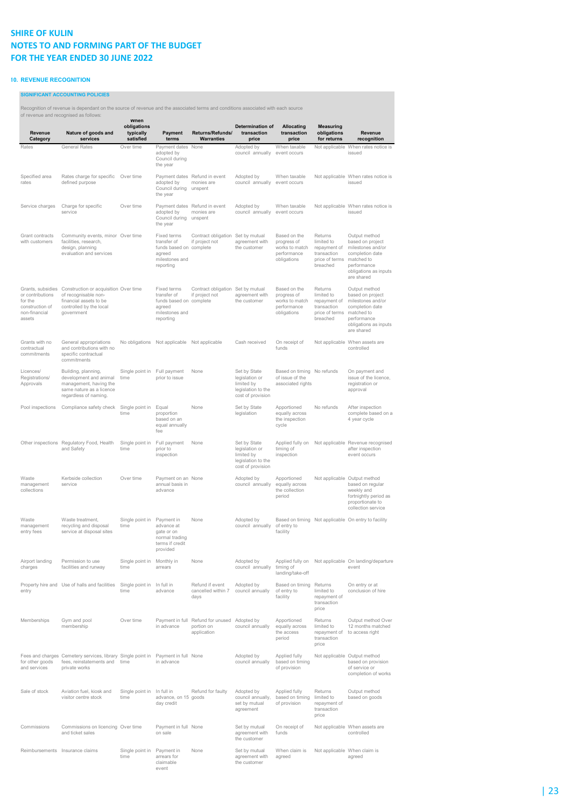### 10. REVENUE RECOGNITION

SIGNIFICANT ACCOUNTING POLICIES

Recognition of revenue is dependant on the source of revenue and the associated terms and conditions associated with each source

| Revenue<br>Category                                                                            | of revenue and recognised as follows:<br>Nature of goods and<br>services                                                         | vvnen<br>obligations<br>typically<br>satisfied | Payment<br>terms                                                                               | Returns/Refunds/<br><b>Warranties</b>                          | Determination of<br>transaction<br>price                                                | <b>Allocating</b><br>transaction<br>price                                   | <b>Measuring</b><br>obligations<br>for returns                                     | Revenue<br>recognition                                                                                                                        |
|------------------------------------------------------------------------------------------------|----------------------------------------------------------------------------------------------------------------------------------|------------------------------------------------|------------------------------------------------------------------------------------------------|----------------------------------------------------------------|-----------------------------------------------------------------------------------------|-----------------------------------------------------------------------------|------------------------------------------------------------------------------------|-----------------------------------------------------------------------------------------------------------------------------------------------|
| Rates                                                                                          | <b>General Rates</b>                                                                                                             | Over time                                      | Payment dates<br>adopted by<br>Council during<br>the year                                      | None                                                           | Adopted by<br>council annually                                                          | When taxable<br>event occurs                                                | Not applicable                                                                     | When rates notice is<br>issued                                                                                                                |
| Specified area<br>rates                                                                        | Rates charge for specific<br>defined purpose                                                                                     | Over time                                      | adopted by<br>Council during<br>the year                                                       | Payment dates Refund in event<br>monies are<br>unspent         | Adopted by<br>council annually                                                          | When taxable<br>event occurs                                                |                                                                                    | Not applicable When rates notice is<br>issued                                                                                                 |
| Service charges                                                                                | Charge for specific<br>service                                                                                                   | Over time                                      | adopted by<br>Council during<br>the year                                                       | Payment dates Refund in event<br>monies are<br>unspent         | Adopted by<br>council annually                                                          | When taxable<br>event occurs                                                |                                                                                    | Not applicable When rates notice is<br>issued                                                                                                 |
| Grant contracts<br>with customers                                                              | Community events, minor Over time<br>facilities, research,<br>design, planning<br>evaluation and services                        |                                                | Fixed terms<br>transfer of<br>funds based on complete<br>agreed<br>milestones and<br>reporting | Contract obligation<br>if project not                          | Set by mutual<br>agreement with<br>the customer                                         | Based on the<br>progress of<br>works to match<br>performance<br>obligations | Returns<br>limited to<br>repayment of<br>transaction<br>price of terms<br>breached | Output method<br>based on project<br>milestones and/or<br>completion date<br>matched to<br>performance<br>obligations as inputs<br>are shared |
| Grants, subsidies<br>or contributions<br>for the<br>construction of<br>non-financial<br>assets | Construction or acquisition Over time<br>of recognisable non-<br>financial assets to be<br>controlled by the local<br>government |                                                | Fixed terms<br>transfer of<br>funds based on complete<br>agreed<br>milestones and<br>reporting | Contract obligation Set by mutual<br>if project not            | agreement with<br>the customer                                                          | Based on the<br>progress of<br>works to match<br>performance<br>obligations | Returns<br>limited to<br>repayment of<br>transaction<br>price of terms<br>breached | Output method<br>based on project<br>milestones and/or<br>completion date<br>matched to<br>performance<br>obligations as inputs<br>are shared |
| Grants with no<br>contractual<br>commitments                                                   | General appropriations<br>and contributions with no<br>specific contractual<br>commitments                                       | No obligations                                 | Not applicable                                                                                 | Not applicable                                                 | Cash received                                                                           | On receipt of<br>funds                                                      |                                                                                    | Not applicable When assets are<br>controlled                                                                                                  |
| Licences/<br>Registrations/<br>Approvals                                                       | Building, planning,<br>development and animal<br>management, having the<br>same nature as a licence<br>regardless of naming.     | Single point in<br>time                        | Full payment<br>prior to issue                                                                 | None                                                           | Set by State<br>legislation or<br>limited by<br>legislation to the<br>cost of provision | Based on timing No refunds<br>of issue of the<br>associated rights          |                                                                                    | On payment and<br>issue of the licence,<br>registration or<br>approval                                                                        |
| Pool inspections                                                                               | Compliance safety check                                                                                                          | Single point in<br>time                        | Equal<br>proportion<br>based on an<br>equal annually<br>fee                                    | None                                                           | Set by State<br>legislation                                                             | Apportioned<br>equally across<br>the inspection<br>cycle                    | No refunds                                                                         | After inspection<br>complete based on a<br>4 year cycle                                                                                       |
|                                                                                                | Other inspections Regulatory Food, Health<br>and Safety                                                                          | Single point in<br>time                        | Full payment<br>prior to<br>inspection                                                         | None                                                           | Set by State<br>legislation or<br>limited by<br>legislation to the<br>cost of provision | Applied fully on<br>timing of<br>inspection                                 |                                                                                    | Not applicable Revenue recognised<br>after inspection<br>event occurs                                                                         |
| Waste<br>management<br>collections                                                             | Kerbside collection<br>service                                                                                                   | Over time                                      | Payment on an None<br>annual basis in<br>advance                                               |                                                                | Adopted by<br>council annually                                                          | Apportioned<br>equally across<br>the collection<br>period                   |                                                                                    | Not applicable Output method<br>based on regular<br>weekly and<br>fortnightly period as<br>proportionate to<br>collection service             |
| Waste<br>management<br>entry fees                                                              | Waste treatment,<br>recycling and disposal<br>service at disposal sites                                                          | Single point in<br>time                        | Payment in<br>advance at<br>gate or on<br>normal trading<br>terms if credit<br>provided        | None                                                           | Adopted by<br>council annually                                                          | of entry to<br>facility                                                     |                                                                                    | Based on timing Not applicable On entry to facility                                                                                           |
| Airport landing<br>charges                                                                     | Permission to use<br>facilities and runway                                                                                       | Single point in Monthly in<br>time             | arrears                                                                                        | None                                                           | Adopted by<br>council annually                                                          | Applied fully on<br>timing of<br>landing/take-off                           |                                                                                    | Not applicable On landing/departure<br>event                                                                                                  |
| entry                                                                                          | Property hire and Use of halls and facilities                                                                                    | Single point in In full in<br>time             | advance                                                                                        | Refund if event<br>cancelled within 7<br>days                  | Adopted by<br>council annually                                                          | Based on timing<br>of entry to<br>facility                                  | Returns<br>limited to<br>repayment of<br>transaction<br>price                      | On entry or at<br>conclusion of hire                                                                                                          |
| Memberships                                                                                    | Gym and pool<br>membership                                                                                                       | Over time                                      | in advance                                                                                     | Payment in full Refund for unused<br>portion on<br>application | Adopted by<br>council annually                                                          | Apportioned<br>equally across<br>the access<br>period                       | Returns<br>limited to<br>repayment of<br>transaction<br>price                      | Output method Over<br>12 months matched<br>to access right                                                                                    |
| for other goods<br>and services                                                                | Fees and charges Cemetery services, library Single point in<br>fees, reinstatements and<br>private works                         | time                                           | Payment in full None<br>in advance                                                             |                                                                | Adopted by<br>council annually                                                          | Applied fully<br>based on timing<br>of provision                            |                                                                                    | Not applicable Output method<br>based on provision<br>of service or<br>completion of works                                                    |
| Sale of stock                                                                                  | Aviation fuel, kiosk and<br>visitor centre stock                                                                                 | Single point in<br>time                        | In full in<br>advance, on 15 goods<br>day credit                                               | Refund for faulty                                              | Adopted by<br>council annually,<br>set by mutual<br>agreement                           | Applied fully<br>based on timing<br>of provision                            | Returns<br>limited to<br>repayment of<br>transaction<br>price                      | Output method<br>based on goods                                                                                                               |
| Commissions                                                                                    | Commissions on licencing Over time<br>and ticket sales                                                                           |                                                | Payment in full None<br>on sale                                                                |                                                                | Set by mutual<br>agreement with<br>the customer                                         | On receipt of<br>funds                                                      |                                                                                    | Not applicable When assets are<br>controlled                                                                                                  |
|                                                                                                | Reimbursements Insurance claims                                                                                                  | Single point in<br>time                        | Payment in<br>arrears for<br>claimable<br>event                                                | None                                                           | Set by mutual<br>agreement with<br>the customer                                         | When claim is<br>agreed                                                     |                                                                                    | Not applicable When claim is<br>agreed                                                                                                        |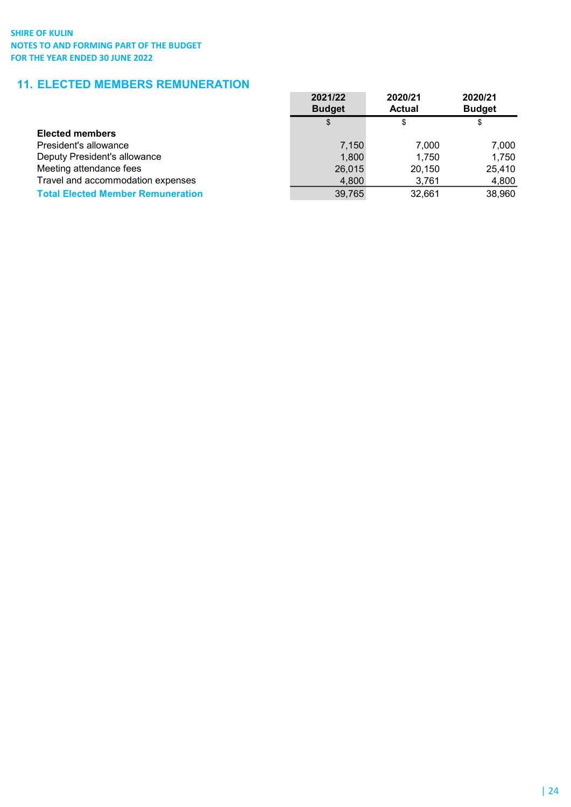# 11. ELECTED MEMBERS REMUNERATION

|                                          | 2021/22<br><b>Budget</b> | 2020/21<br><b>Actual</b> | 2020/21<br><b>Budget</b> |
|------------------------------------------|--------------------------|--------------------------|--------------------------|
|                                          | \$                       | \$                       | \$                       |
| <b>Elected members</b>                   |                          |                          |                          |
| President's allowance                    | 7,150                    | 7.000                    | 7.000                    |
| Deputy President's allowance             | 1,800                    | 1.750                    | 1,750                    |
| Meeting attendance fees                  | 26,015                   | 20,150                   | 25,410                   |
| Travel and accommodation expenses        | 4,800                    | 3,761                    | 4,800                    |
| <b>Total Elected Member Remuneration</b> | 39,765                   | 32,661                   | 38,960                   |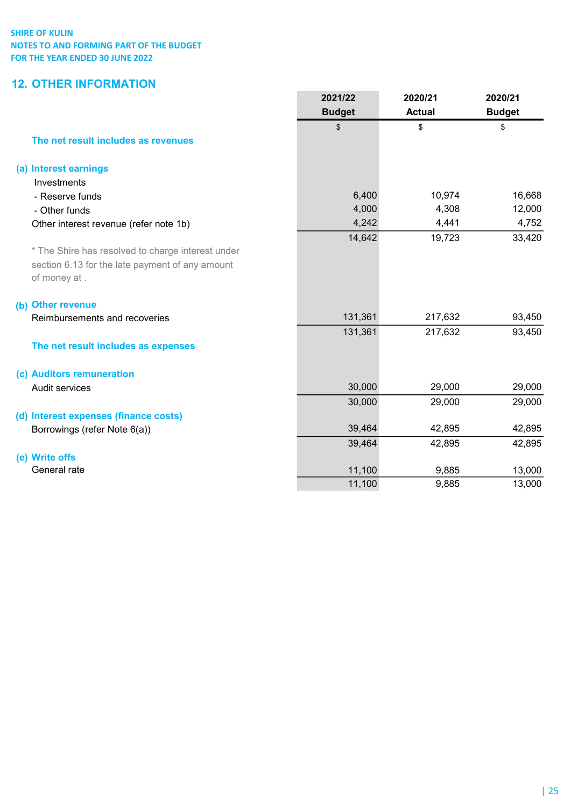# 12. OTHER INFORMATION

|                                                   | 2021/22<br><b>Budget</b> | 2020/21<br><b>Actual</b> | 2020/21<br><b>Budget</b> |
|---------------------------------------------------|--------------------------|--------------------------|--------------------------|
|                                                   | \$                       | \$                       | \$                       |
| The net result includes as revenues               |                          |                          |                          |
| (a) Interest earnings                             |                          |                          |                          |
| Investments                                       |                          |                          |                          |
| - Reserve funds                                   | 6,400                    | 10,974                   | 16,668                   |
| - Other funds                                     | 4,000                    | 4,308                    | 12,000                   |
| Other interest revenue (refer note 1b)            | 4,242                    | 4,441                    | 4,752                    |
|                                                   | 14,642                   | 19,723                   | 33,420                   |
| * The Shire has resolved to charge interest under |                          |                          |                          |
| section 6.13 for the late payment of any amount   |                          |                          |                          |
| of money at .                                     |                          |                          |                          |
| (b) Other revenue                                 |                          |                          |                          |
| Reimbursements and recoveries                     | 131,361                  | 217,632                  | 93,450                   |
|                                                   | 131,361                  | 217,632                  | 93,450                   |
| The net result includes as expenses               |                          |                          |                          |
| (c) Auditors remuneration                         |                          |                          |                          |
| Audit services                                    | 30,000                   | 29,000                   | 29,000                   |
|                                                   | 30,000                   | 29,000                   | 29,000                   |
| (d) Interest expenses (finance costs)             |                          |                          |                          |
| Borrowings (refer Note 6(a))                      | 39,464                   | 42,895                   | 42,895                   |
|                                                   | 39,464                   | 42,895                   | 42,895                   |
| (e) Write offs                                    |                          |                          |                          |
| General rate                                      | 11,100                   | 9,885                    | 13,000                   |
|                                                   | 11,100                   | 9,885                    | 13,000                   |